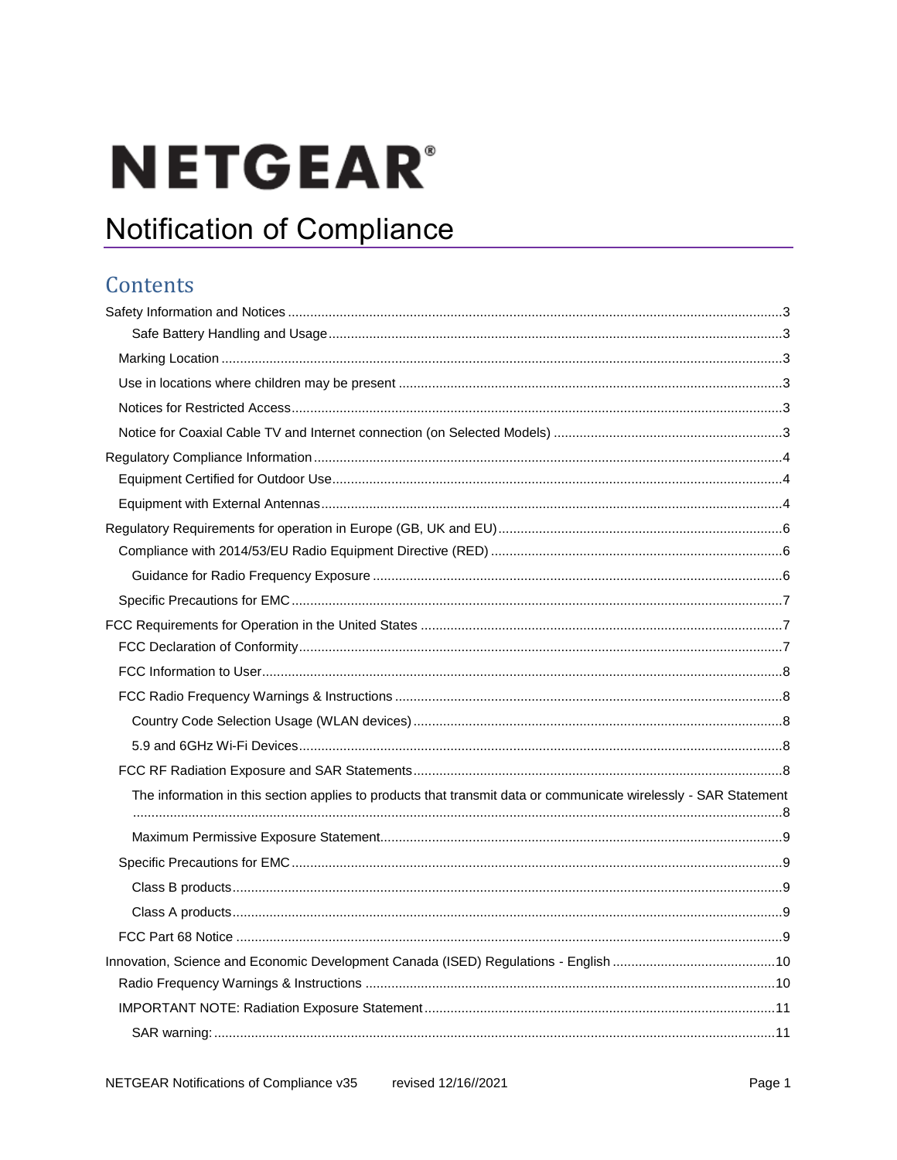# **NETGEAR®**

# **Notification of Compliance**

# Contents

| The information in this section applies to products that transmit data or communicate wirelessly - SAR Statement |  |
|------------------------------------------------------------------------------------------------------------------|--|
|                                                                                                                  |  |
|                                                                                                                  |  |
|                                                                                                                  |  |
|                                                                                                                  |  |
|                                                                                                                  |  |
|                                                                                                                  |  |
|                                                                                                                  |  |
|                                                                                                                  |  |
|                                                                                                                  |  |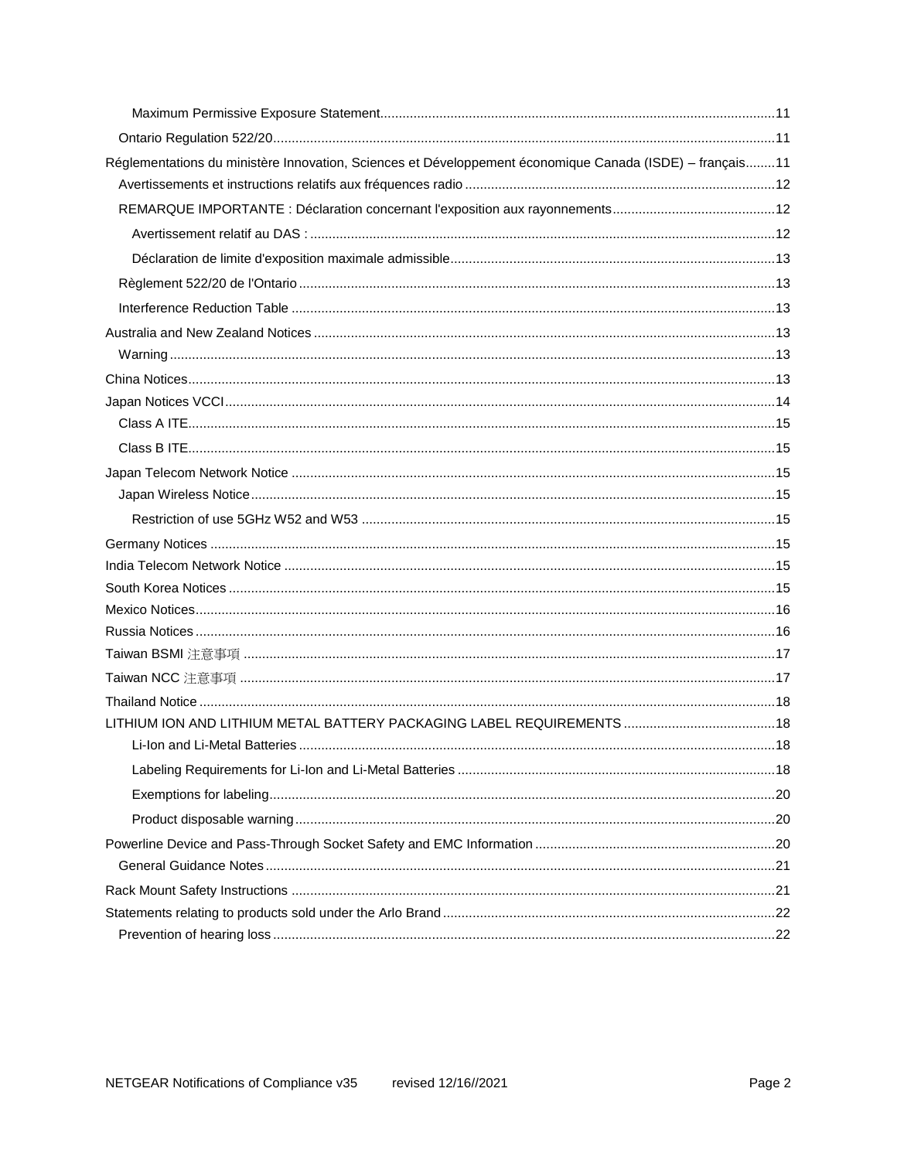| Réglementations du ministère Innovation, Sciences et Développement économique Canada (ISDE) - français11 |  |
|----------------------------------------------------------------------------------------------------------|--|
|                                                                                                          |  |
|                                                                                                          |  |
|                                                                                                          |  |
|                                                                                                          |  |
|                                                                                                          |  |
|                                                                                                          |  |
|                                                                                                          |  |
|                                                                                                          |  |
|                                                                                                          |  |
|                                                                                                          |  |
|                                                                                                          |  |
|                                                                                                          |  |
|                                                                                                          |  |
|                                                                                                          |  |
|                                                                                                          |  |
|                                                                                                          |  |
|                                                                                                          |  |
|                                                                                                          |  |
|                                                                                                          |  |
|                                                                                                          |  |
|                                                                                                          |  |
|                                                                                                          |  |
|                                                                                                          |  |
|                                                                                                          |  |
|                                                                                                          |  |
|                                                                                                          |  |
|                                                                                                          |  |
|                                                                                                          |  |
|                                                                                                          |  |
|                                                                                                          |  |
|                                                                                                          |  |
|                                                                                                          |  |
|                                                                                                          |  |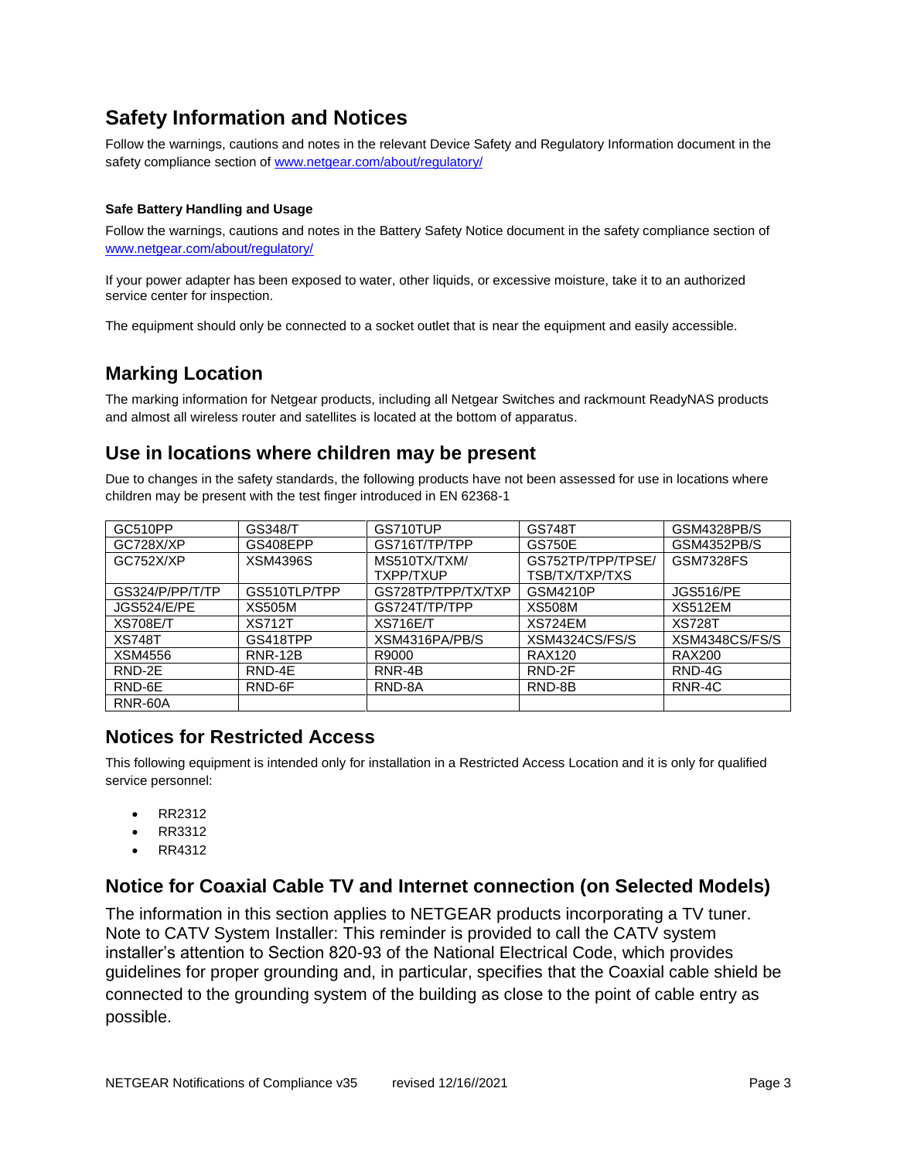# <span id="page-2-0"></span>**Safety Information and Notices**

Follow the warnings, cautions and notes in the relevant Device Safety and Regulatory Information document in the safety compliance section o[f www.netgear.com/about/regulatory/](https://www.netgear.com/about/regulatory/)

#### <span id="page-2-1"></span>**Safe Battery Handling and Usage**

Follow the warnings, cautions and notes in the Battery Safety Notice document in the safety compliance section of [www.netgear.com/about/regulatory/](https://www.netgear.com/about/regulatory/)

If your power adapter has been exposed to water, other liquids, or excessive moisture, take it to an authorized service center for inspection.

The equipment should only be connected to a socket outlet that is near the equipment and easily accessible.

## <span id="page-2-2"></span>**Marking Location**

The marking information for Netgear products, including all Netgear Switches and rackmount ReadyNAS products and almost all wireless router and satellites is located at the bottom of apparatus.

### <span id="page-2-3"></span>**Use in locations where children may be present**

Due to changes in the safety standards, the following products have not been assessed for use in locations where children may be present with the test finger introduced in EN 62368-1

| GC510PP            | <b>GS348/T</b>  | GS710TUP           | <b>GS748T</b>     | GSM4328PB/S      |
|--------------------|-----------------|--------------------|-------------------|------------------|
| GC728X/XP          | GS408EPP        | GS716T/TP/TPP      | <b>GS750E</b>     | GSM4352PB/S      |
| GC752X/XP          | <b>XSM4396S</b> | MS510TX/TXM/       | GS752TP/TPP/TPSE/ | <b>GSM7328FS</b> |
|                    |                 | TXPP/TXUP          | TSB/TX/TXP/TXS    |                  |
| GS324/P/PP/T/TP    | GS510TLP/TPP    | GS728TP/TPP/TX/TXP | <b>GSM4210P</b>   | <b>JGS516/PE</b> |
| <b>JGS524/E/PE</b> | <b>XS505M</b>   | GS724T/TP/TPP      | <b>XS508M</b>     | <b>XS512EM</b>   |
| <b>XS708E/T</b>    | <b>XS712T</b>   | <b>XS716E/T</b>    | XS724EM           | <b>XS728T</b>    |
| <b>XS748T</b>      | GS418TPP        | XSM4316PA/PB/S     | XSM4324CS/FS/S    | XSM4348CS/FS/S   |
| XSM4556            | <b>RNR-12B</b>  | R9000              | <b>RAX120</b>     | <b>RAX200</b>    |
| RND-2E             | RND-4E          | RNR-4B             | RND-2F            | RND-4G           |
| RND-6E             | RND-6F          | RND-8A             | RND-8B            | RNR-4C           |
| RNR-60A            |                 |                    |                   |                  |

## <span id="page-2-4"></span>**Notices for Restricted Access**

This following equipment is intended only for installation in a Restricted Access Location and it is only for qualified service personnel:

- RR2312
- RR3312
- RR4312

#### <span id="page-2-5"></span>**Notice for Coaxial Cable TV and Internet connection (on Selected Models)**

The information in this section applies to NETGEAR products incorporating a TV tuner. Note to CATV System Installer: This reminder is provided to call the CATV system installer's attention to Section 820-93 of the National Electrical Code, which provides guidelines for proper grounding and, in particular, specifies that the Coaxial cable shield be connected to the grounding system of the building as close to the point of cable entry as possible.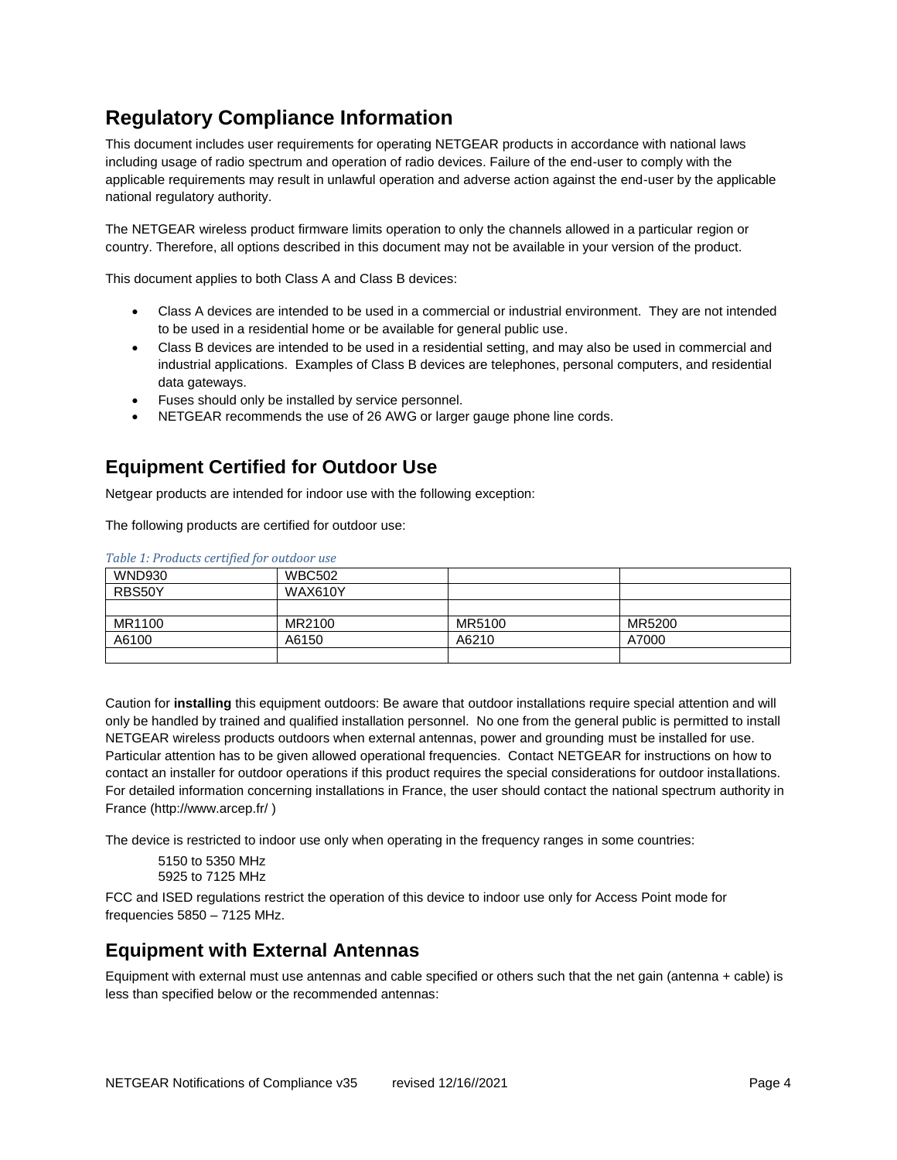# <span id="page-3-0"></span>**Regulatory Compliance Information**

This document includes user requirements for operating NETGEAR products in accordance with national laws including usage of radio spectrum and operation of radio devices. Failure of the end-user to comply with the applicable requirements may result in unlawful operation and adverse action against the end-user by the applicable national regulatory authority.

The NETGEAR wireless product firmware limits operation to only the channels allowed in a particular region or country. Therefore, all options described in this document may not be available in your version of the product.

This document applies to both Class A and Class B devices:

- Class A devices are intended to be used in a commercial or industrial environment. They are not intended to be used in a residential home or be available for general public use.
- Class B devices are intended to be used in a residential setting, and may also be used in commercial and industrial applications. Examples of Class B devices are telephones, personal computers, and residential data gateways.
- Fuses should only be installed by service personnel.
- NETGEAR recommends the use of 26 AWG or larger gauge phone line cords.

## <span id="page-3-1"></span>**Equipment Certified for Outdoor Use**

Netgear products are intended for indoor use with the following exception:

The following products are certified for outdoor use:

| <b>WND930</b> | <b>WBC502</b>  |        |        |
|---------------|----------------|--------|--------|
| RBS50Y        | <b>WAX610Y</b> |        |        |
|               |                |        |        |
| MR1100        | MR2100         | MR5100 | MR5200 |
| A6100         | A6150          | A6210  | A7000  |
|               |                |        |        |

*Table 1: Products certified for outdoor use*

Caution for **installing** this equipment outdoors: Be aware that outdoor installations require special attention and will only be handled by trained and qualified installation personnel. No one from the general public is permitted to install NETGEAR wireless products outdoors when external antennas, power and grounding must be installed for use. Particular attention has to be given allowed operational frequencies. Contact NETGEAR for instructions on how to contact an installer for outdoor operations if this product requires the special considerations for outdoor installations. For detailed information concerning installations in France, the user should contact the national spectrum authority in France (http://www.arcep.fr/ )

The device is restricted to indoor use only when operating in the frequency ranges in some countries:

5150 to 5350 MHz 5925 to 7125 MHz

FCC and ISED regulations restrict the operation of this device to indoor use only for Access Point mode for frequencies 5850 – 7125 MHz.

#### <span id="page-3-2"></span>**Equipment with External Antennas**

Equipment with external must use antennas and cable specified or others such that the net gain (antenna + cable) is less than specified below or the recommended antennas: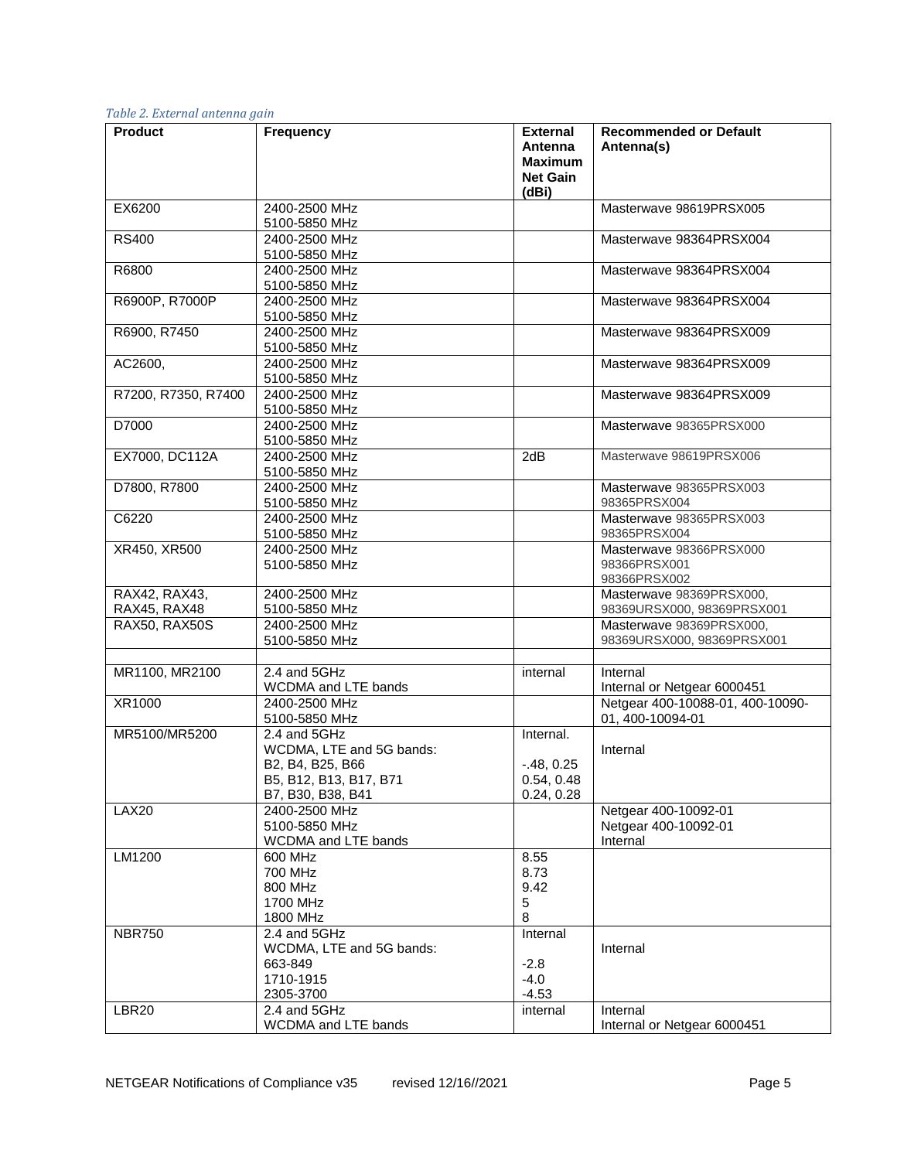| <b>Product</b>      | <b>Frequency</b>                            | <b>External</b>           | <b>Recommended or Default</b>           |
|---------------------|---------------------------------------------|---------------------------|-----------------------------------------|
|                     |                                             | Antenna<br><b>Maximum</b> | Antenna(s)                              |
|                     |                                             | <b>Net Gain</b>           |                                         |
|                     |                                             | (dBi)                     |                                         |
| EX6200              | 2400-2500 MHz                               |                           | Masterwave 98619PRSX005                 |
| <b>RS400</b>        | 5100-5850 MHz<br>2400-2500 MHz              |                           | Masterwave 98364PRSX004                 |
|                     | 5100-5850 MHz                               |                           |                                         |
| R6800               | 2400-2500 MHz                               |                           | Masterwave 98364PRSX004                 |
|                     | 5100-5850 MHz                               |                           |                                         |
| R6900P, R7000P      | 2400-2500 MHz                               |                           | Masterwave 98364PRSX004                 |
|                     | 5100-5850 MHz                               |                           |                                         |
| R6900, R7450        | 2400-2500 MHz                               |                           | Masterwave 98364PRSX009                 |
|                     | 5100-5850 MHz                               |                           |                                         |
| AC2600,             | 2400-2500 MHz                               |                           | Masterwave 98364PRSX009                 |
| R7200, R7350, R7400 | 5100-5850 MHz<br>2400-2500 MHz              |                           | Masterwave 98364PRSX009                 |
|                     | 5100-5850 MHz                               |                           |                                         |
| D7000               | 2400-2500 MHz                               |                           | Masterwave 98365PRSX000                 |
|                     | 5100-5850 MHz                               |                           |                                         |
| EX7000, DC112A      | 2400-2500 MHz                               | 2dB                       | Masterwave 98619PRSX006                 |
|                     | 5100-5850 MHz                               |                           |                                         |
| D7800, R7800        | 2400-2500 MHz                               |                           | Masterwave 98365PRSX003                 |
|                     | 5100-5850 MHz                               |                           | 98365PRSX004                            |
| C6220               | 2400-2500 MHz                               |                           | Masterwave 98365PRSX003                 |
| XR450, XR500        | 5100-5850 MHz<br>2400-2500 MHz              |                           | 98365PRSX004<br>Masterwave 98366PRSX000 |
|                     | 5100-5850 MHz                               |                           | 98366PRSX001                            |
|                     |                                             |                           | 98366PRSX002                            |
| RAX42, RAX43,       | 2400-2500 MHz                               |                           | Masterwave 98369PRSX000,                |
| RAX45, RAX48        | 5100-5850 MHz                               |                           | 98369URSX000, 98369PRSX001              |
| RAX50, RAX50S       | 2400-2500 MHz                               |                           | Masterwave 98369PRSX000,                |
|                     | 5100-5850 MHz                               |                           | 98369URSX000, 98369PRSX001              |
| MR1100, MR2100      | 2.4 and 5GHz                                | internal                  | Internal                                |
|                     | <b>WCDMA and LTE bands</b>                  |                           | Internal or Netgear 6000451             |
| XR1000              | 2400-2500 MHz                               |                           | Netgear 400-10088-01, 400-10090-        |
|                     | 5100-5850 MHz                               |                           | 01, 400-10094-01                        |
| MR5100/MR5200       | 2.4 and 5GHz                                | Internal.                 |                                         |
|                     | WCDMA, LTE and 5G bands:                    |                           | Internal                                |
|                     | B2, B4, B25, B66                            | $-48, 0.25$               |                                         |
|                     | B5, B12, B13, B17, B71<br>B7, B30, B38, B41 | 0.54, 0.48                |                                         |
| <b>LAX20</b>        | 2400-2500 MHz                               | 0.24, 0.28                | Netgear 400-10092-01                    |
|                     | 5100-5850 MHz                               |                           | Netgear 400-10092-01                    |
|                     | WCDMA and LTE bands                         |                           | Internal                                |
| LM1200              | 600 MHz                                     | 8.55                      |                                         |
|                     | 700 MHz                                     | 8.73                      |                                         |
|                     | 800 MHz                                     | 9.42                      |                                         |
|                     | 1700 MHz                                    | 5                         |                                         |
| <b>NBR750</b>       | 1800 MHz<br>2.4 and 5GHz                    | 8<br>Internal             |                                         |
|                     | WCDMA, LTE and 5G bands:                    |                           | Internal                                |
|                     | 663-849                                     | $-2.8$                    |                                         |
|                     | 1710-1915                                   | $-4.0$                    |                                         |
|                     | 2305-3700                                   | $-4.53$                   |                                         |
| <b>LBR20</b>        | 2.4 and 5GHz                                | internal                  | Internal                                |
|                     | WCDMA and LTE bands                         |                           | Internal or Netgear 6000451             |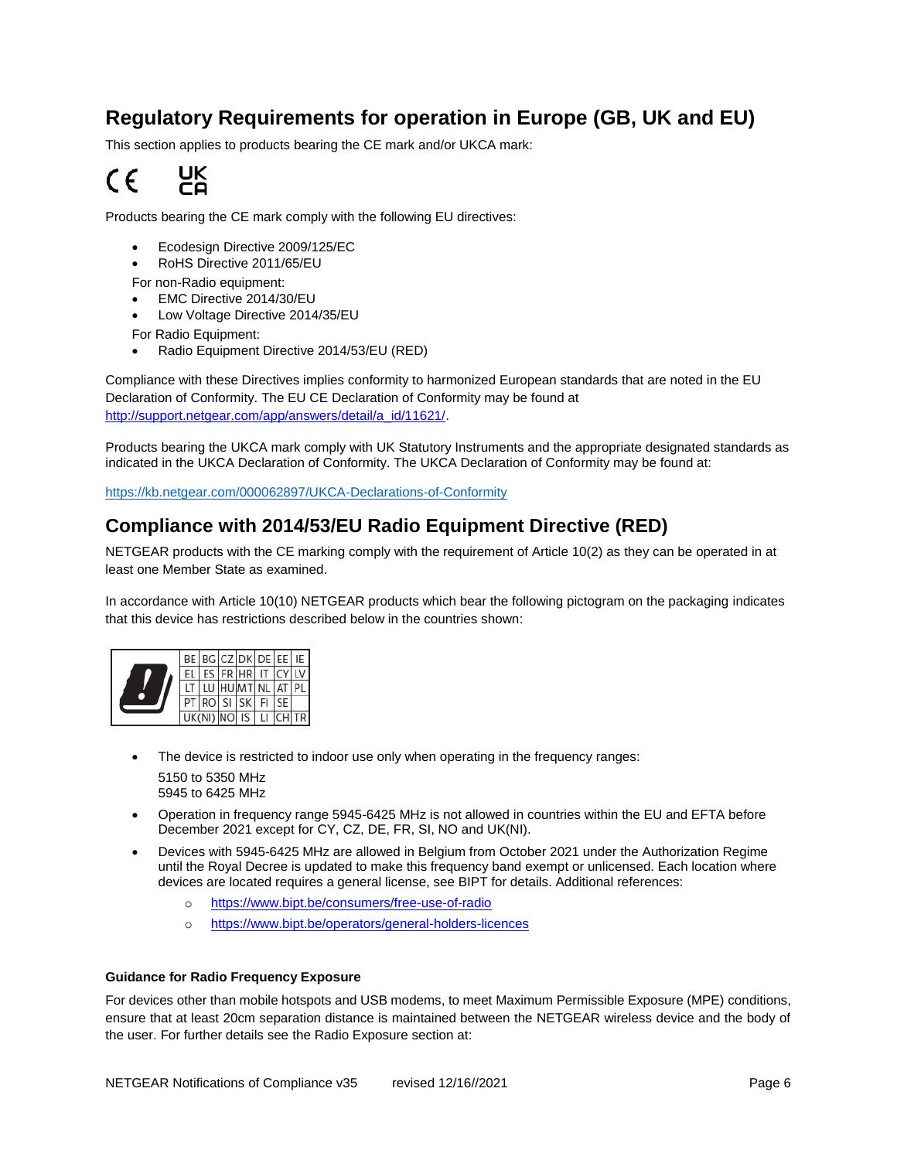# <span id="page-5-0"></span>**Regulatory Requirements for operation in Europe (GB, UK and EU)**

This section applies to products bearing the CE mark and/or UKCA mark:



Products bearing the CE mark comply with the following EU directives:

- Ecodesign Directive 2009/125/EC
- RoHS Directive 2011/65/EU
- For non-Radio equipment:
- EMC Directive 2014/30/EU
- Low Voltage Directive 2014/35/EU
- For Radio Equipment:
- Radio Equipment Directive 2014/53/EU (RED)

Compliance with these Directives implies conformity to harmonized European standards that are noted in the EU Declaration of Conformity. The EU CE Declaration of Conformity may be found at [http://support.netgear.com/app/answers/detail/a\\_id/11621/.](http://support.netgear.com/app/answers/detail/a_id/11621/)

Products bearing the UKCA mark comply with UK Statutory Instruments and the appropriate designated standards as indicated in the UKCA Declaration of Conformity. The UKCA Declaration of Conformity may be found at:

<https://kb.netgear.com/000062897/UKCA-Declarations-of-Conformity>

#### <span id="page-5-1"></span>**Compliance with 2014/53/EU Radio Equipment Directive (RED)**

NETGEAR products with the CE marking comply with the requirement of Article 10(2) as they can be operated in at least one Member State as examined.

In accordance with Article 10(10) NETGEAR products which bear the following pictogram on the packaging indicates that this device has restrictions described below in the countries shown:



- The device is restricted to indoor use only when operating in the frequency ranges: 5150 to 5350 MHz 5945 to 6425 MHz
- Operation in frequency range 5945-6425 MHz is not allowed in countries within the EU and EFTA before December 2021 except for CY, CZ, DE, FR, SI, NO and UK(NI).
- Devices with 5945-6425 MHz are allowed in Belgium from October 2021 under the Authorization Regime until the Royal Decree is updated to make this frequency band exempt or unlicensed. Each location where devices are located requires a general license, see BIPT for details. Additional references:
	- o <https://www.bipt.be/consumers/free-use-of-radio>
	- o <https://www.bipt.be/operators/general-holders-licences>

#### <span id="page-5-2"></span>**Guidance for Radio Frequency Exposure**

For devices other than mobile hotspots and USB modems, to meet Maximum Permissible Exposure (MPE) conditions, ensure that at least 20cm separation distance is maintained between the NETGEAR wireless device and the body of the user. For further details see the Radio Exposure section at: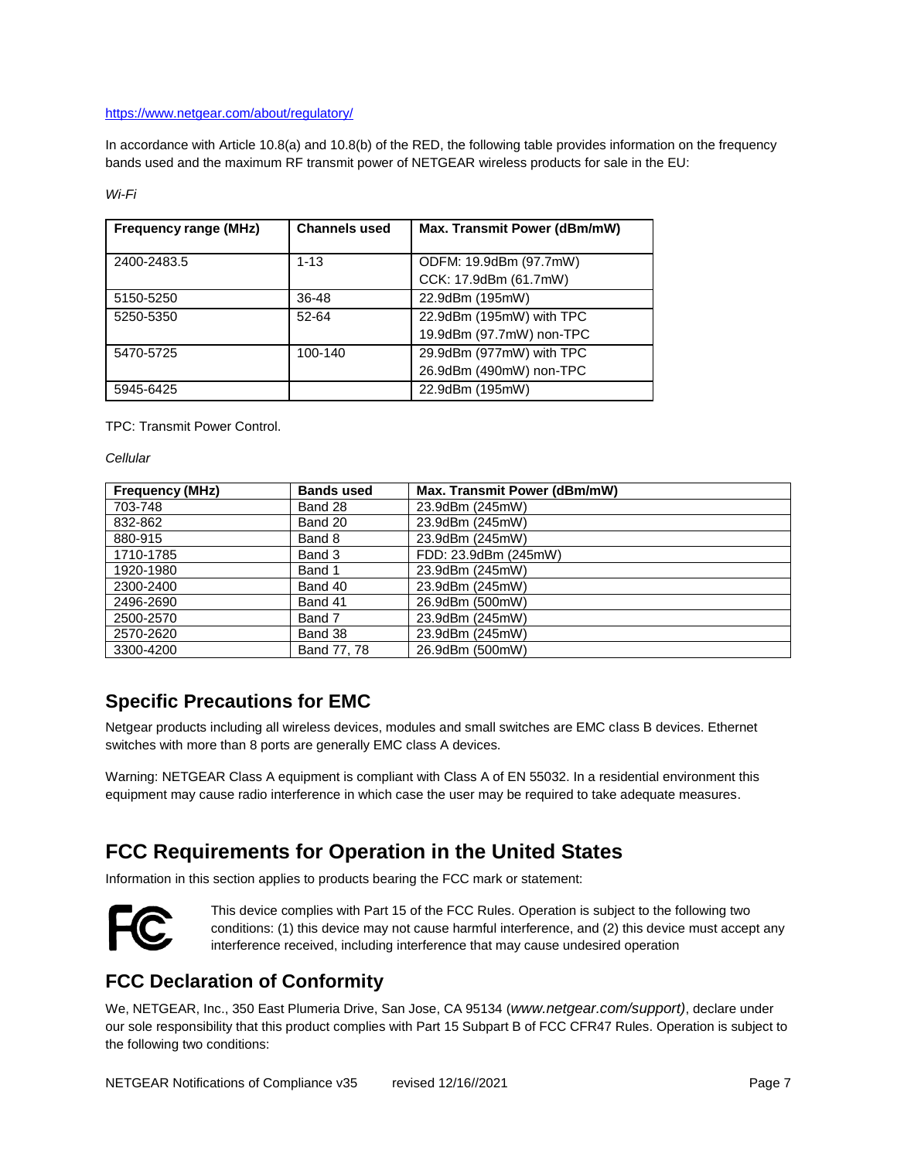#### <https://www.netgear.com/about/regulatory/>

In accordance with Article 10.8(a) and 10.8(b) of the RED, the following table provides information on the frequency bands used and the maximum RF transmit power of NETGEAR wireless products for sale in the EU:

*Wi-Fi*

| <b>Frequency range (MHz)</b> | <b>Channels used</b> | Max. Transmit Power (dBm/mW) |
|------------------------------|----------------------|------------------------------|
|                              |                      |                              |
| 2400-2483.5                  | $1 - 13$             | ODFM: 19.9dBm (97.7mW)       |
|                              |                      | CCK: 17.9dBm (61.7mW)        |
| 5150-5250                    | 36-48                | 22.9dBm (195mW)              |
| 5250-5350                    | 52-64                | 22.9dBm (195mW) with TPC     |
|                              |                      | 19.9dBm (97.7mW) non-TPC     |
| 5470-5725                    | 100-140              | 29.9dBm (977mW) with TPC     |
|                              |                      | 26.9dBm (490mW) non-TPC      |
| 5945-6425                    |                      | 22.9dBm (195mW)              |

TPC: Transmit Power Control.

*Cellular*

| <b>Frequency (MHz)</b> | <b>Bands used</b> | Max. Transmit Power (dBm/mW) |
|------------------------|-------------------|------------------------------|
| 703-748                | Band 28           | 23.9dBm (245mW)              |
| 832-862                | Band 20           | 23.9dBm (245mW)              |
| 880-915                | Band 8            | 23.9dBm (245mW)              |
| 1710-1785              | Band 3            | FDD: 23.9dBm (245mW)         |
| 1920-1980              | Band 1            | 23.9dBm (245mW)              |
| 2300-2400              | Band 40           | 23.9dBm (245mW)              |
| 2496-2690              | Band 41           | 26.9dBm (500mW)              |
| 2500-2570              | Band 7            | 23.9dBm (245mW)              |
| 2570-2620              | Band 38           | 23.9dBm (245mW)              |
| 3300-4200              | Band 77, 78       | 26.9dBm (500mW)              |

## <span id="page-6-0"></span>**Specific Precautions for EMC**

Netgear products including all wireless devices, modules and small switches are EMC class B devices. Ethernet switches with more than 8 ports are generally EMC class A devices.

Warning: NETGEAR Class A equipment is compliant with Class A of EN 55032. In a residential environment this equipment may cause radio interference in which case the user may be required to take adequate measures.

# <span id="page-6-1"></span>**FCC Requirements for Operation in the United States**

Information in this section applies to products bearing the FCC mark or statement:



This device complies with Part 15 of the FCC Rules. Operation is subject to the following two conditions: (1) this device may not cause harmful interference, and (2) this device must accept any interference received, including interference that may cause undesired operation

## <span id="page-6-2"></span>**FCC Declaration of Conformity**

We, NETGEAR, Inc., 350 East Plumeria Drive, San Jose, CA 95134 (*www.netgear.com/support)*, declare under our sole responsibility that this product complies with Part 15 Subpart B of FCC CFR47 Rules. Operation is subject to the following two conditions: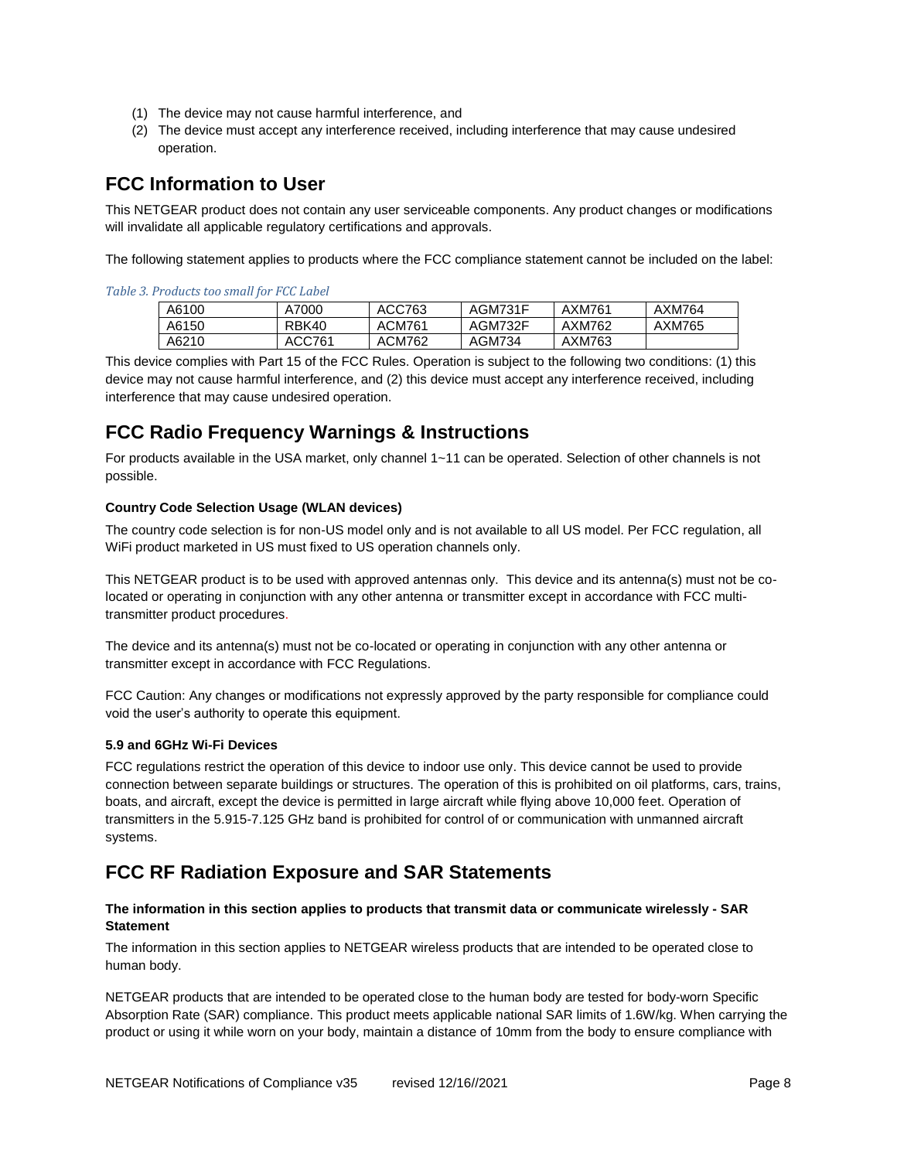- (1) The device may not cause harmful interference, and
- (2) The device must accept any interference received, including interference that may cause undesired operation.

## <span id="page-7-0"></span>**FCC Information to User**

This NETGEAR product does not contain any user serviceable components. Any product changes or modifications will invalidate all applicable regulatory certifications and approvals.

The following statement applies to products where the FCC compliance statement cannot be included on the label:

*Table 3. Products too small for FCC Label*

| A6100 | A7000  | ACC763 | AGM731F | AXM761 | AXM764 |
|-------|--------|--------|---------|--------|--------|
| A6150 | RBK40  | ACM761 | AGM732F | AXM762 | AXM765 |
| A6210 | ACC761 | ACM762 | AGM734  | AXM763 |        |

This device complies with Part 15 of the FCC Rules. Operation is subject to the following two conditions: (1) this device may not cause harmful interference, and (2) this device must accept any interference received, including interference that may cause undesired operation.

## <span id="page-7-1"></span>**FCC Radio Frequency Warnings & Instructions**

For products available in the USA market, only channel 1~11 can be operated. Selection of other channels is not possible.

#### <span id="page-7-2"></span>**Country Code Selection Usage (WLAN devices)**

The country code selection is for non-US model only and is not available to all US model. Per FCC regulation, all WiFi product marketed in US must fixed to US operation channels only.

This NETGEAR product is to be used with approved antennas only. This device and its antenna(s) must not be colocated or operating in conjunction with any other antenna or transmitter except in accordance with FCC multitransmitter product procedures.

The device and its antenna(s) must not be co-located or operating in conjunction with any other antenna or transmitter except in accordance with FCC Regulations.

FCC Caution: Any changes or modifications not expressly approved by the party responsible for compliance could void the user's authority to operate this equipment.

#### <span id="page-7-3"></span>**5.9 and 6GHz Wi-Fi Devices**

FCC regulations restrict the operation of this device to indoor use only. This device cannot be used to provide connection between separate buildings or structures. The operation of this is prohibited on oil platforms, cars, trains, boats, and aircraft, except the device is permitted in large aircraft while flying above 10,000 feet. Operation of transmitters in the 5.915-7.125 GHz band is prohibited for control of or communication with unmanned aircraft systems.

## <span id="page-7-4"></span>**FCC RF Radiation Exposure and SAR Statements**

#### <span id="page-7-5"></span>**The information in this section applies to products that transmit data or communicate wirelessly - SAR Statement**

The information in this section applies to NETGEAR wireless products that are intended to be operated close to human body.

NETGEAR products that are intended to be operated close to the human body are tested for body-worn Specific Absorption Rate (SAR) compliance. This product meets applicable national SAR limits of 1.6W/kg. When carrying the product or using it while worn on your body, maintain a distance of 10mm from the body to ensure compliance with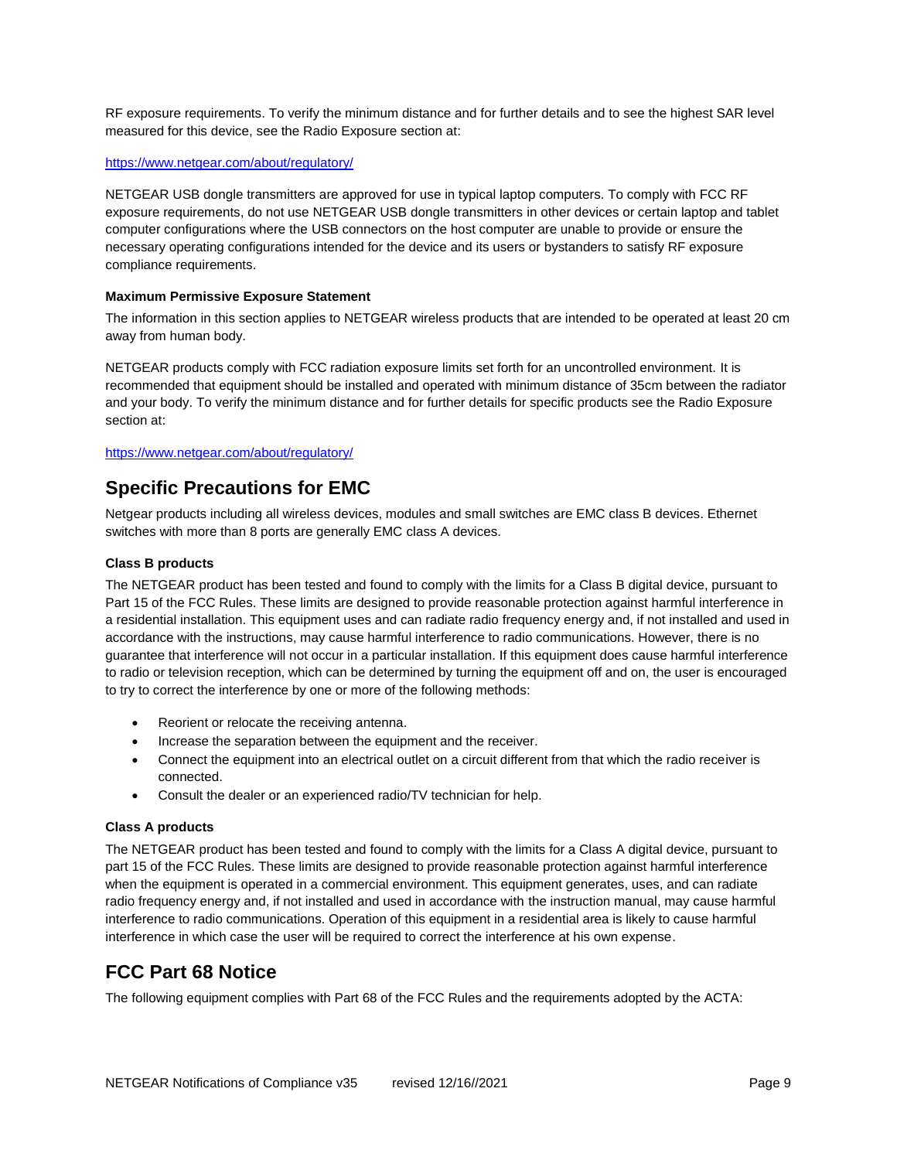RF exposure requirements. To verify the minimum distance and for further details and to see the highest SAR level measured for this device, see the Radio Exposure section at:

#### <https://www.netgear.com/about/regulatory/>

NETGEAR USB dongle transmitters are approved for use in typical laptop computers. To comply with FCC RF exposure requirements, do not use NETGEAR USB dongle transmitters in other devices or certain laptop and tablet computer configurations where the USB connectors on the host computer are unable to provide or ensure the necessary operating configurations intended for the device and its users or bystanders to satisfy RF exposure compliance requirements.

#### <span id="page-8-0"></span>**Maximum Permissive Exposure Statement**

The information in this section applies to NETGEAR wireless products that are intended to be operated at least 20 cm away from human body.

NETGEAR products comply with FCC radiation exposure limits set forth for an uncontrolled environment. It is recommended that equipment should be installed and operated with minimum distance of 35cm between the radiator and your body. To verify the minimum distance and for further details for specific products see the Radio Exposure section at:

#### <https://www.netgear.com/about/regulatory/>

#### <span id="page-8-1"></span>**Specific Precautions for EMC**

Netgear products including all wireless devices, modules and small switches are EMC class B devices. Ethernet switches with more than 8 ports are generally EMC class A devices.

#### <span id="page-8-2"></span>**Class B products**

The NETGEAR product has been tested and found to comply with the limits for a Class B digital device, pursuant to Part 15 of the FCC Rules. These limits are designed to provide reasonable protection against harmful interference in a residential installation. This equipment uses and can radiate radio frequency energy and, if not installed and used in accordance with the instructions, may cause harmful interference to radio communications. However, there is no guarantee that interference will not occur in a particular installation. If this equipment does cause harmful interference to radio or television reception, which can be determined by turning the equipment off and on, the user is encouraged to try to correct the interference by one or more of the following methods:

- Reorient or relocate the receiving antenna.
- Increase the separation between the equipment and the receiver.
- Connect the equipment into an electrical outlet on a circuit different from that which the radio receiver is connected.
- Consult the dealer or an experienced radio/TV technician for help.

#### <span id="page-8-3"></span>**Class A products**

The NETGEAR product has been tested and found to comply with the limits for a Class A digital device, pursuant to part 15 of the FCC Rules. These limits are designed to provide reasonable protection against harmful interference when the equipment is operated in a commercial environment. This equipment generates, uses, and can radiate radio frequency energy and, if not installed and used in accordance with the instruction manual, may cause harmful interference to radio communications. Operation of this equipment in a residential area is likely to cause harmful interference in which case the user will be required to correct the interference at his own expense.

## <span id="page-8-4"></span>**FCC Part 68 Notice**

The following equipment complies with Part 68 of the FCC Rules and the requirements adopted by the ACTA: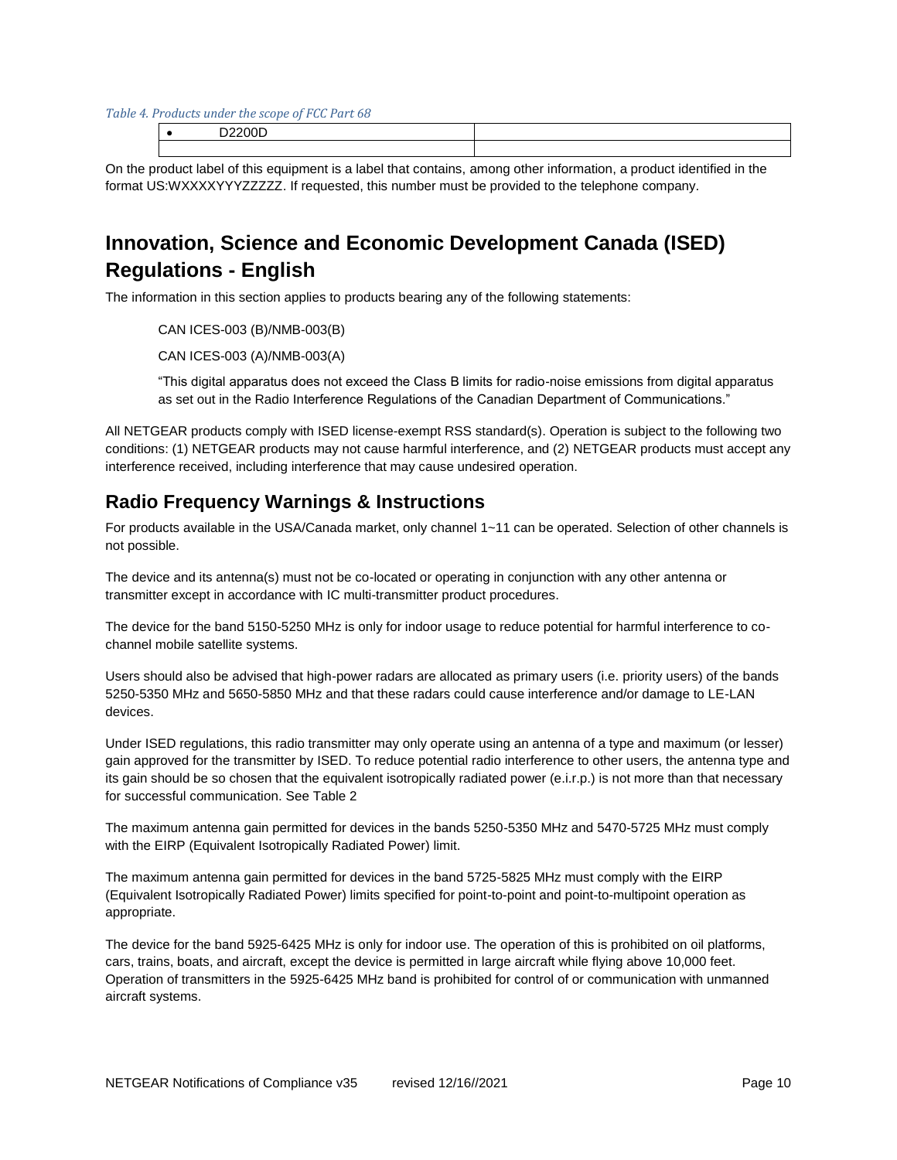*Table 4. Products under the scope of FCC Part 68*

On the product label of this equipment is a label that contains, among other information, a product identified in the format US:WXXXXYYYZZZZZ. If requested, this number must be provided to the telephone company.

# <span id="page-9-0"></span>**Innovation, Science and Economic Development Canada (ISED) Regulations - English**

The information in this section applies to products bearing any of the following statements:

CAN ICES-003 (B)/NMB-003(B)

CAN ICES-003 (A)/NMB-003(A)

"This digital apparatus does not exceed the Class B limits for radio-noise emissions from digital apparatus as set out in the Radio Interference Regulations of the Canadian Department of Communications."

All NETGEAR products comply with ISED license-exempt RSS standard(s). Operation is subject to the following two conditions: (1) NETGEAR products may not cause harmful interference, and (2) NETGEAR products must accept any interference received, including interference that may cause undesired operation.

## <span id="page-9-1"></span>**Radio Frequency Warnings & Instructions**

For products available in the USA/Canada market, only channel 1~11 can be operated. Selection of other channels is not possible.

The device and its antenna(s) must not be co-located or operating in conjunction with any other antenna or transmitter except in accordance with IC multi-transmitter product procedures.

The device for the band 5150-5250 MHz is only for indoor usage to reduce potential for harmful interference to cochannel mobile satellite systems.

Users should also be advised that high-power radars are allocated as primary users (i.e. priority users) of the bands 5250-5350 MHz and 5650-5850 MHz and that these radars could cause interference and/or damage to LE-LAN devices.

Under ISED regulations, this radio transmitter may only operate using an antenna of a type and maximum (or lesser) gain approved for the transmitter by ISED. To reduce potential radio interference to other users, the antenna type and its gain should be so chosen that the equivalent isotropically radiated power (e.i.r.p.) is not more than that necessary for successful communication. See Table 2

The maximum antenna gain permitted for devices in the bands 5250-5350 MHz and 5470-5725 MHz must comply with the EIRP (Equivalent Isotropically Radiated Power) limit.

The maximum antenna gain permitted for devices in the band 5725-5825 MHz must comply with the EIRP (Equivalent Isotropically Radiated Power) limits specified for point-to-point and point-to-multipoint operation as appropriate.

The device for the band 5925-6425 MHz is only for indoor use. The operation of this is prohibited on oil platforms, cars, trains, boats, and aircraft, except the device is permitted in large aircraft while flying above 10,000 feet. Operation of transmitters in the 5925-6425 MHz band is prohibited for control of or communication with unmanned aircraft systems.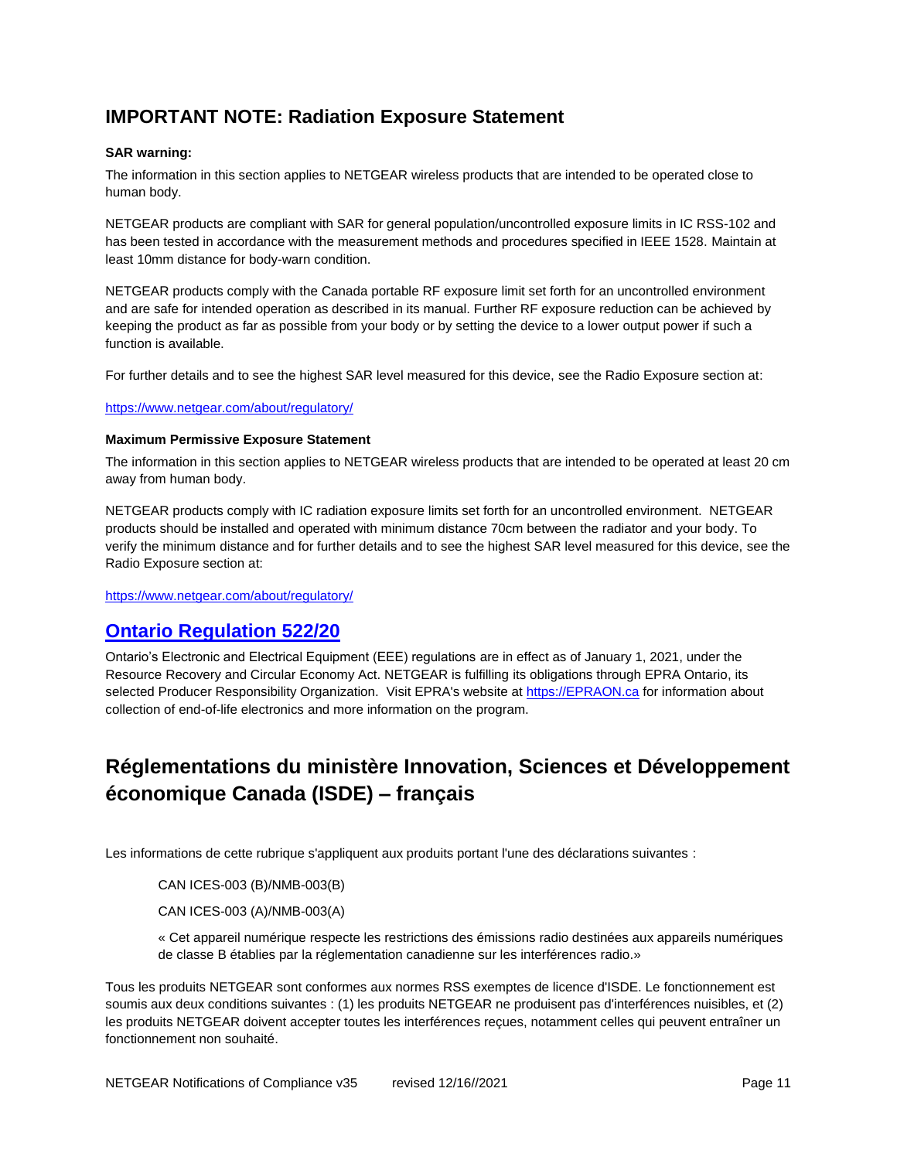## <span id="page-10-0"></span>**IMPORTANT NOTE: Radiation Exposure Statement**

#### <span id="page-10-1"></span>**SAR warning:**

The information in this section applies to NETGEAR wireless products that are intended to be operated close to human body.

NETGEAR products are compliant with SAR for general population/uncontrolled exposure limits in IC RSS-102 and has been tested in accordance with the measurement methods and procedures specified in IEEE 1528. Maintain at least 10mm distance for body-warn condition.

NETGEAR products comply with the Canada portable RF exposure limit set forth for an uncontrolled environment and are safe for intended operation as described in its manual. Further RF exposure reduction can be achieved by keeping the product as far as possible from your body or by setting the device to a lower output power if such a function is available.

For further details and to see the highest SAR level measured for this device, see the Radio Exposure section at:

#### <https://www.netgear.com/about/regulatory/>

#### <span id="page-10-2"></span>**Maximum Permissive Exposure Statement**

The information in this section applies to NETGEAR wireless products that are intended to be operated at least 20 cm away from human body.

NETGEAR products comply with IC radiation exposure limits set forth for an uncontrolled environment. NETGEAR products should be installed and operated with minimum distance 70cm between the radiator and your body. To verify the minimum distance and for further details and to see the highest SAR level measured for this device, see the Radio Exposure section at:

<https://www.netgear.com/about/regulatory/>

## <span id="page-10-3"></span>**Ontario Regulation 522/20**

Ontario's Electronic and Electrical Equipment (EEE) regulations are in effect as of January 1, 2021, under the Resource Recovery and Circular Economy Act. NETGEAR is fulfilling its obligations through EPRA Ontario, its selected Producer Responsibility Organization. Visit EPRA's website at [https://EPRAON.ca](https://epraon.ca/) for information about collection of end-of-life electronics and more information on the program.

# <span id="page-10-4"></span>**Réglementations du ministère Innovation, Sciences et Développement économique Canada (ISDE) – français**

Les informations de cette rubrique s'appliquent aux produits portant l'une des déclarations suivantes :

CAN ICES-003 (B)/NMB-003(B)

CAN ICES-003 (A)/NMB-003(A)

« Cet appareil numérique respecte les restrictions des émissions radio destinées aux appareils numériques de classe B établies par la réglementation canadienne sur les interférences radio.»

Tous les produits NETGEAR sont conformes aux normes RSS exemptes de licence d'ISDE. Le fonctionnement est soumis aux deux conditions suivantes : (1) les produits NETGEAR ne produisent pas d'interférences nuisibles, et (2) les produits NETGEAR doivent accepter toutes les interférences reçues, notamment celles qui peuvent entraîner un fonctionnement non souhaité.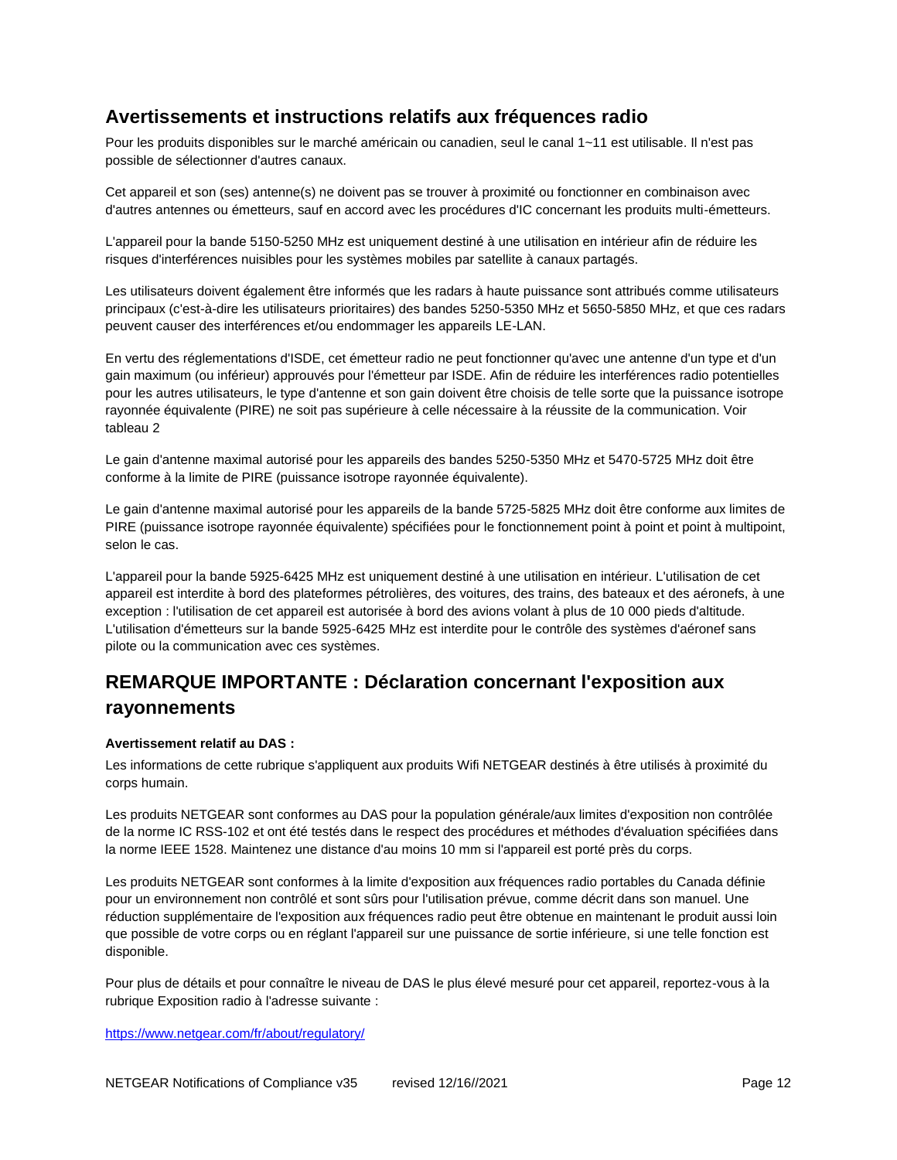## <span id="page-11-0"></span>**Avertissements et instructions relatifs aux fréquences radio**

Pour les produits disponibles sur le marché américain ou canadien, seul le canal 1~11 est utilisable. Il n'est pas possible de sélectionner d'autres canaux.

Cet appareil et son (ses) antenne(s) ne doivent pas se trouver à proximité ou fonctionner en combinaison avec d'autres antennes ou émetteurs, sauf en accord avec les procédures d'IC concernant les produits multi-émetteurs.

L'appareil pour la bande 5150-5250 MHz est uniquement destiné à une utilisation en intérieur afin de réduire les risques d'interférences nuisibles pour les systèmes mobiles par satellite à canaux partagés.

Les utilisateurs doivent également être informés que les radars à haute puissance sont attribués comme utilisateurs principaux (c'est-à-dire les utilisateurs prioritaires) des bandes 5250-5350 MHz et 5650-5850 MHz, et que ces radars peuvent causer des interférences et/ou endommager les appareils LE-LAN.

En vertu des réglementations d'ISDE, cet émetteur radio ne peut fonctionner qu'avec une antenne d'un type et d'un gain maximum (ou inférieur) approuvés pour l'émetteur par ISDE. Afin de réduire les interférences radio potentielles pour les autres utilisateurs, le type d'antenne et son gain doivent être choisis de telle sorte que la puissance isotrope rayonnée équivalente (PIRE) ne soit pas supérieure à celle nécessaire à la réussite de la communication. Voir tableau 2

Le gain d'antenne maximal autorisé pour les appareils des bandes 5250-5350 MHz et 5470-5725 MHz doit être conforme à la limite de PIRE (puissance isotrope rayonnée équivalente).

Le gain d'antenne maximal autorisé pour les appareils de la bande 5725-5825 MHz doit être conforme aux limites de PIRE (puissance isotrope rayonnée équivalente) spécifiées pour le fonctionnement point à point et point à multipoint, selon le cas.

L'appareil pour la bande 5925-6425 MHz est uniquement destiné à une utilisation en intérieur. L'utilisation de cet appareil est interdite à bord des plateformes pétrolières, des voitures, des trains, des bateaux et des aéronefs, à une exception : l'utilisation de cet appareil est autorisée à bord des avions volant à plus de 10 000 pieds d'altitude. L'utilisation d'émetteurs sur la bande 5925-6425 MHz est interdite pour le contrôle des systèmes d'aéronef sans pilote ou la communication avec ces systèmes.

# <span id="page-11-1"></span>**REMARQUE IMPORTANTE : Déclaration concernant l'exposition aux rayonnements**

#### <span id="page-11-2"></span>**Avertissement relatif au DAS :**

Les informations de cette rubrique s'appliquent aux produits Wifi NETGEAR destinés à être utilisés à proximité du corps humain.

Les produits NETGEAR sont conformes au DAS pour la population générale/aux limites d'exposition non contrôlée de la norme IC RSS-102 et ont été testés dans le respect des procédures et méthodes d'évaluation spécifiées dans la norme IEEE 1528. Maintenez une distance d'au moins 10 mm si l'appareil est porté près du corps.

Les produits NETGEAR sont conformes à la limite d'exposition aux fréquences radio portables du Canada définie pour un environnement non contrôlé et sont sûrs pour l'utilisation prévue, comme décrit dans son manuel. Une réduction supplémentaire de l'exposition aux fréquences radio peut être obtenue en maintenant le produit aussi loin que possible de votre corps ou en réglant l'appareil sur une puissance de sortie inférieure, si une telle fonction est disponible.

Pour plus de détails et pour connaître le niveau de DAS le plus élevé mesuré pour cet appareil, reportez-vous à la rubrique Exposition radio à l'adresse suivante :

<https://www.netgear.com/fr/about/regulatory/>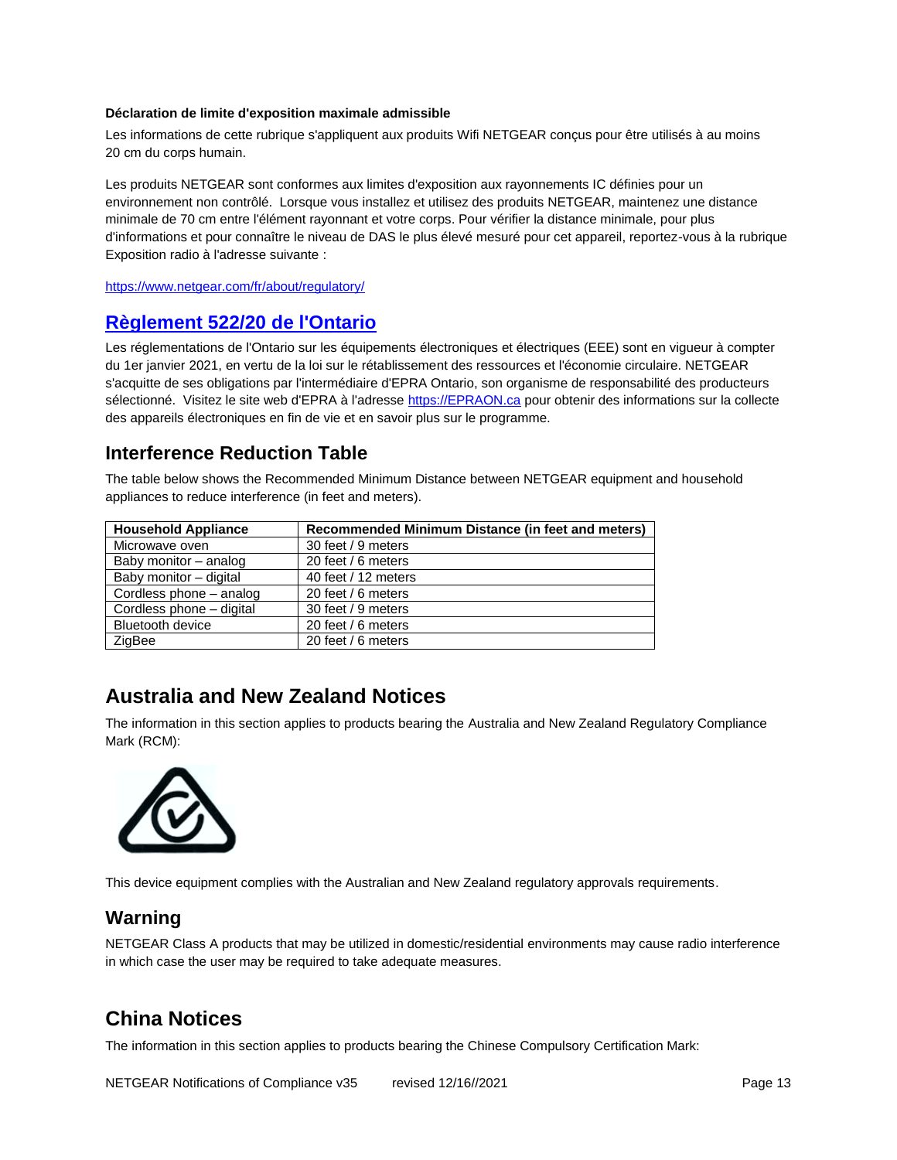#### <span id="page-12-0"></span>**Déclaration de limite d'exposition maximale admissible**

Les informations de cette rubrique s'appliquent aux produits Wifi NETGEAR conçus pour être utilisés à au moins 20 cm du corps humain.

Les produits NETGEAR sont conformes aux limites d'exposition aux rayonnements IC définies pour un environnement non contrôlé. Lorsque vous installez et utilisez des produits NETGEAR, maintenez une distance minimale de 70 cm entre l'élément rayonnant et votre corps. Pour vérifier la distance minimale, pour plus d'informations et pour connaître le niveau de DAS le plus élevé mesuré pour cet appareil, reportez-vous à la rubrique Exposition radio à l'adresse suivante :

<https://www.netgear.com/fr/about/regulatory/>

#### <span id="page-12-1"></span>**Règlement 522/20 de l'Ontario**

Les réglementations de l'Ontario sur les équipements électroniques et électriques (EEE) sont en vigueur à compter du 1er janvier 2021, en vertu de la loi sur le rétablissement des ressources et l'économie circulaire. NETGEAR s'acquitte de ses obligations par l'intermédiaire d'EPRA Ontario, son organisme de responsabilité des producteurs sélectionné. Visitez le site web d'EPRA à l'adresse [https://EPRAON.ca](https://epraon.ca/) pour obtenir des informations sur la collecte des appareils électroniques en fin de vie et en savoir plus sur le programme.

### <span id="page-12-2"></span>**Interference Reduction Table**

The table below shows the Recommended Minimum Distance between NETGEAR equipment and household appliances to reduce interference (in feet and meters).

| <b>Household Appliance</b> | Recommended Minimum Distance (in feet and meters) |
|----------------------------|---------------------------------------------------|
| Microwave oven             | 30 feet / 9 meters                                |
| Baby monitor - analog      | 20 feet / 6 meters                                |
| Baby monitor - digital     | 40 feet / 12 meters                               |
| Cordless phone – analog    | 20 feet / 6 meters                                |
| Cordless phone – digital   | 30 feet / 9 meters                                |
| <b>Bluetooth device</b>    | 20 feet / 6 meters                                |
| ZigBee                     | 20 feet / 6 meters                                |

## <span id="page-12-3"></span>**Australia and New Zealand Notices**

The information in this section applies to products bearing the Australia and New Zealand Regulatory Compliance Mark (RCM):



This device equipment complies with the Australian and New Zealand regulatory approvals requirements.

## <span id="page-12-4"></span>**Warning**

NETGEAR Class A products that may be utilized in domestic/residential environments may cause radio interference in which case the user may be required to take adequate measures.

## <span id="page-12-5"></span>**China Notices**

The information in this section applies to products bearing the Chinese Compulsory Certification Mark: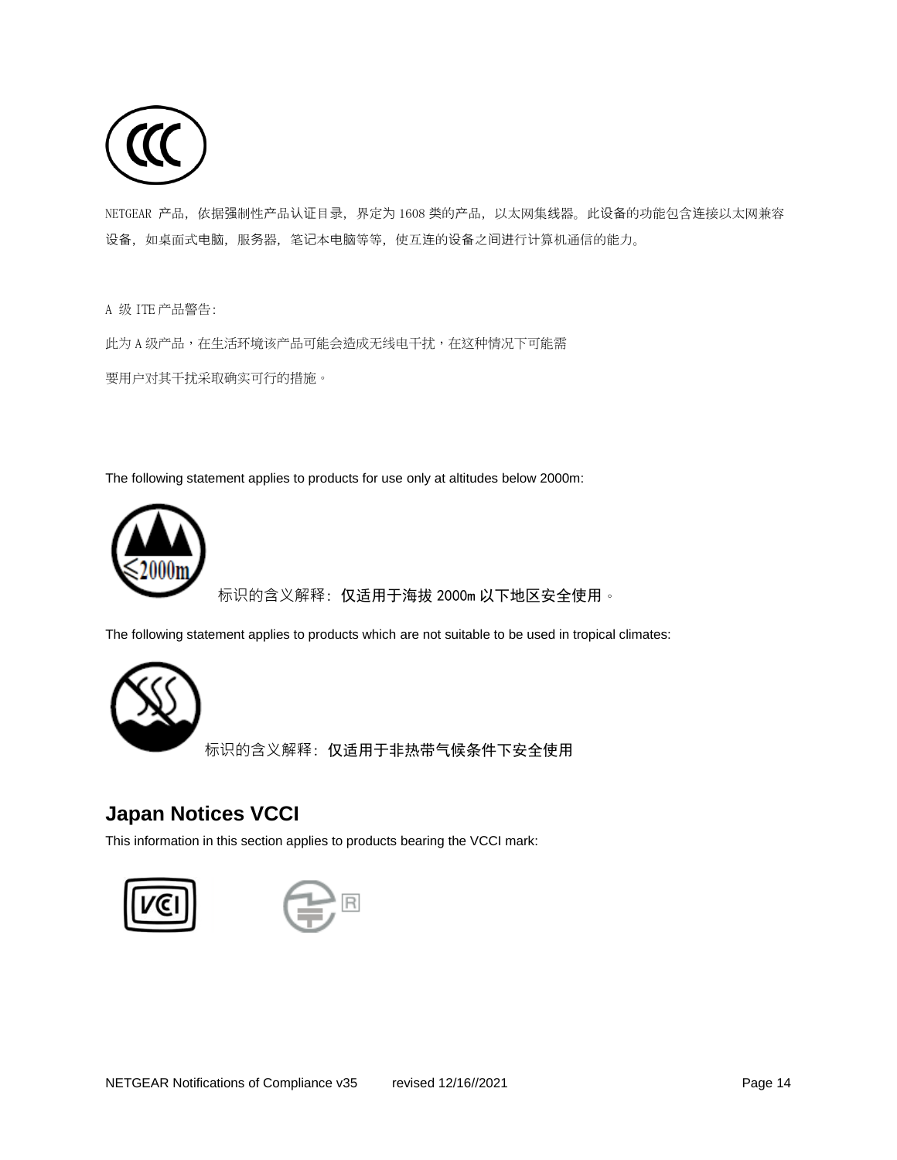

NETGEAR 产品, 依据强制性产品认证目录, 界定为 1608 类的产品, 以太网集线器。此设备的功能包含连接以太网兼容 设备, 如桌面式电脑, 服务器, 笔记本电脑等等, 使互连的设备之间进行计算机通信的能力。

A 级 ITE 产品警告:

此为 A 级产品,在生活环境该产品可能会造成无线电干扰,在这种情况下可能需 要用户对其干扰采取确实可行的措施。

The following statement applies to products for use only at altitudes below 2000m:



标识的含义解释: 仅适用于海拔 2000m 以下地区安全使用。

The following statement applies to products which are not suitable to be used in tropical climates:



标识的含义解释: 仅适用于非热带气候条件下安全使用

## <span id="page-13-0"></span>**Japan Notices VCCI**

This information in this section applies to products bearing the VCCI mark:



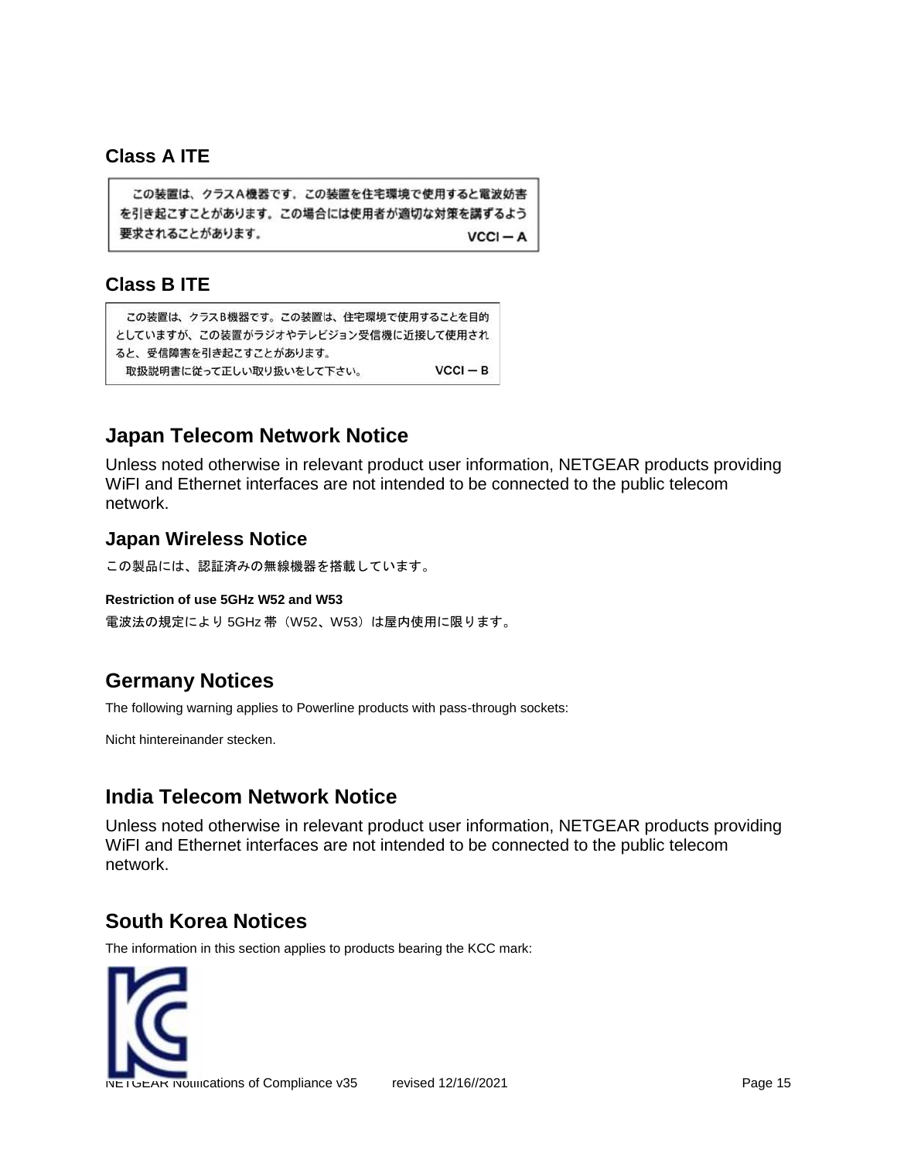## <span id="page-14-0"></span>**Class A ITE**

```
この装置は、クラスA機器です。この装置を住宅環境で使用すると電波妨害
を引き起こすことがあります。この場合には使用者が適切な対策を講ずるよう
要求されることがあります。
                               VCCI - A
```
## <span id="page-14-1"></span>**Class B ITE**

```
この装置は、クラスB機器です。この装置は、住宅環境で使用することを目的
としていますが、この装置がラジオやテレビジョン受信機に近接して使用され
ると、受信障害を引き起こすことがあります。
                               VCCI - B取扱説明書に従って正しい取り扱いをして下さい。
```
# <span id="page-14-2"></span>**Japan Telecom Network Notice**

Unless noted otherwise in relevant product user information, NETGEAR products providing WiFI and Ethernet interfaces are not intended to be connected to the public telecom network.

#### <span id="page-14-3"></span>**Japan Wireless Notice**

```
この製品には、認証済みの無線機器を搭載しています。
```
#### <span id="page-14-4"></span>**Restriction of use 5GHz W52 and W53**

電波法の規定により 5GHz 帯 (W52、W53)は屋内使用に限ります。

# <span id="page-14-5"></span>**Germany Notices**

The following warning applies to Powerline products with pass-through sockets:

Nicht hintereinander stecken.

# <span id="page-14-6"></span>**India Telecom Network Notice**

Unless noted otherwise in relevant product user information, NETGEAR products providing WiFI and Ethernet interfaces are not intended to be connected to the public telecom network.

# <span id="page-14-7"></span>**South Korea Notices**

The information in this section applies to products bearing the KCC mark:

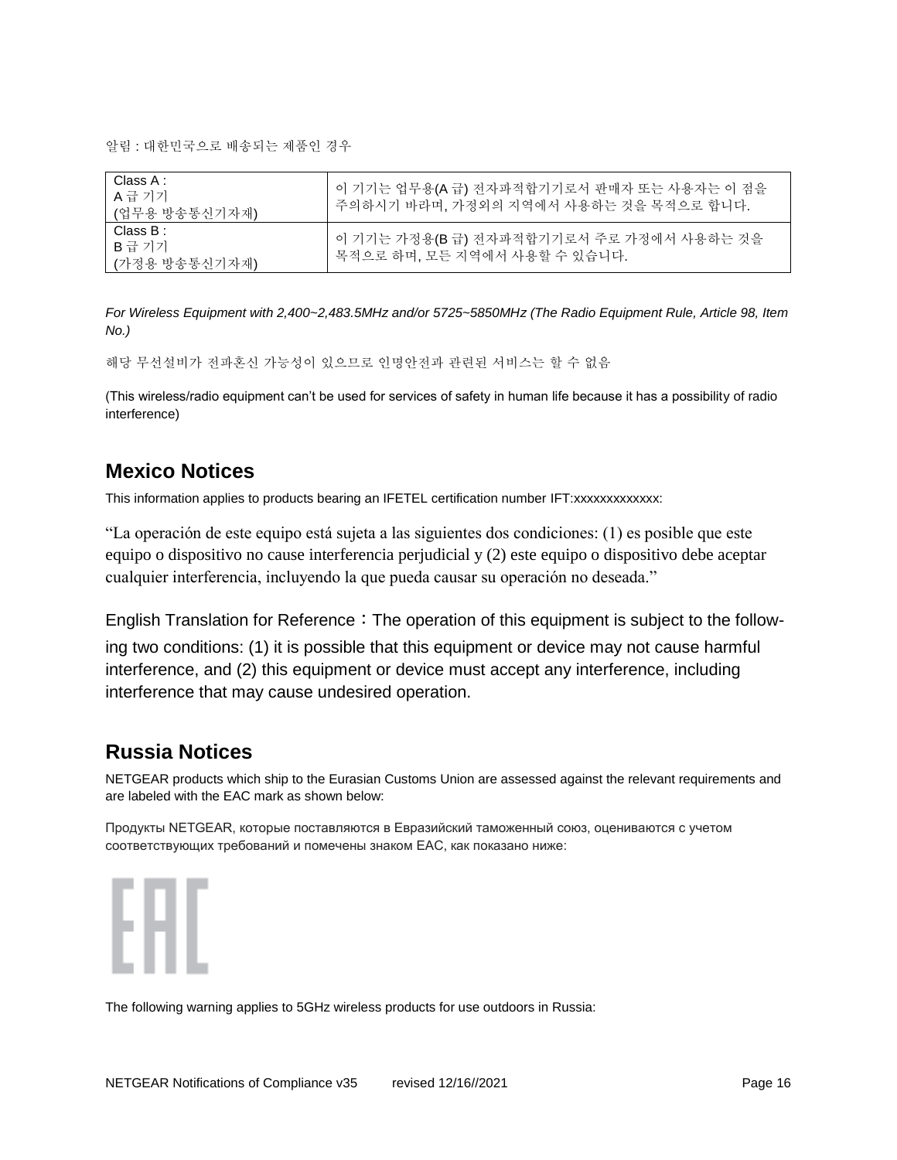알림 : 대한민국으로 배송되는 제품인 경우

| Class A :<br>A 급 기기<br>(업무용 방송통신기자재) | 이 기기는 업무용(A 급) 전자파적합기기로서 판매자 또는 사용자는 이 점을<br>주의하시기 바라며, 가정외의 지역에서 사용하는 것을 목적으로 합니다. |
|--------------------------------------|-------------------------------------------------------------------------------------|
| Class B :<br>B급 기기<br>(가정용 방송통신기자재)  | 이 기기는 가정용(B 급) 전자파적합기기로서 주로 가정에서 사용하는 것을<br>목적으로 하며, 모든 지역에서 사용할 수 있습니다.            |

*For Wireless Equipment with 2,400~2,483.5MHz and/or 5725~5850MHz (The Radio Equipment Rule, Article 98, Item No.)*

해당 무선설비가 전파혼신 가능성이 있으므로 인명안전과 관련된 서비스는 할 수 없음

(This wireless/radio equipment can't be used for services of safety in human life because it has a possibility of radio interference)

## <span id="page-15-0"></span>**Mexico Notices**

This information applies to products bearing an IFETEL certification number IFT:xxxxxxxxxxxxx:

"La operación de este equipo está sujeta a las siguientes dos condiciones: (1) es posible que este equipo o dispositivo no cause interferencia perjudicial y (2) este equipo o dispositivo debe aceptar cualquier interferencia, incluyendo la que pueda causar su operación no deseada."

English Translation for Reference: The operation of this equipment is subject to the follow-

ing two conditions: (1) it is possible that this equipment or device may not cause harmful interference, and (2) this equipment or device must accept any interference, including interference that may cause undesired operation.

## <span id="page-15-1"></span>**Russia Notices**

NETGEAR products which ship to the Eurasian Customs Union are assessed against the relevant requirements and are labeled with the EAC mark as shown below:

Продукты NETGEAR, которые поставляются в Евразийский таможенный союз, оцениваются с учетом соответствующих требований и помечены знаком EAC, как показано ниже:



The following warning applies to 5GHz wireless products for use outdoors in Russia: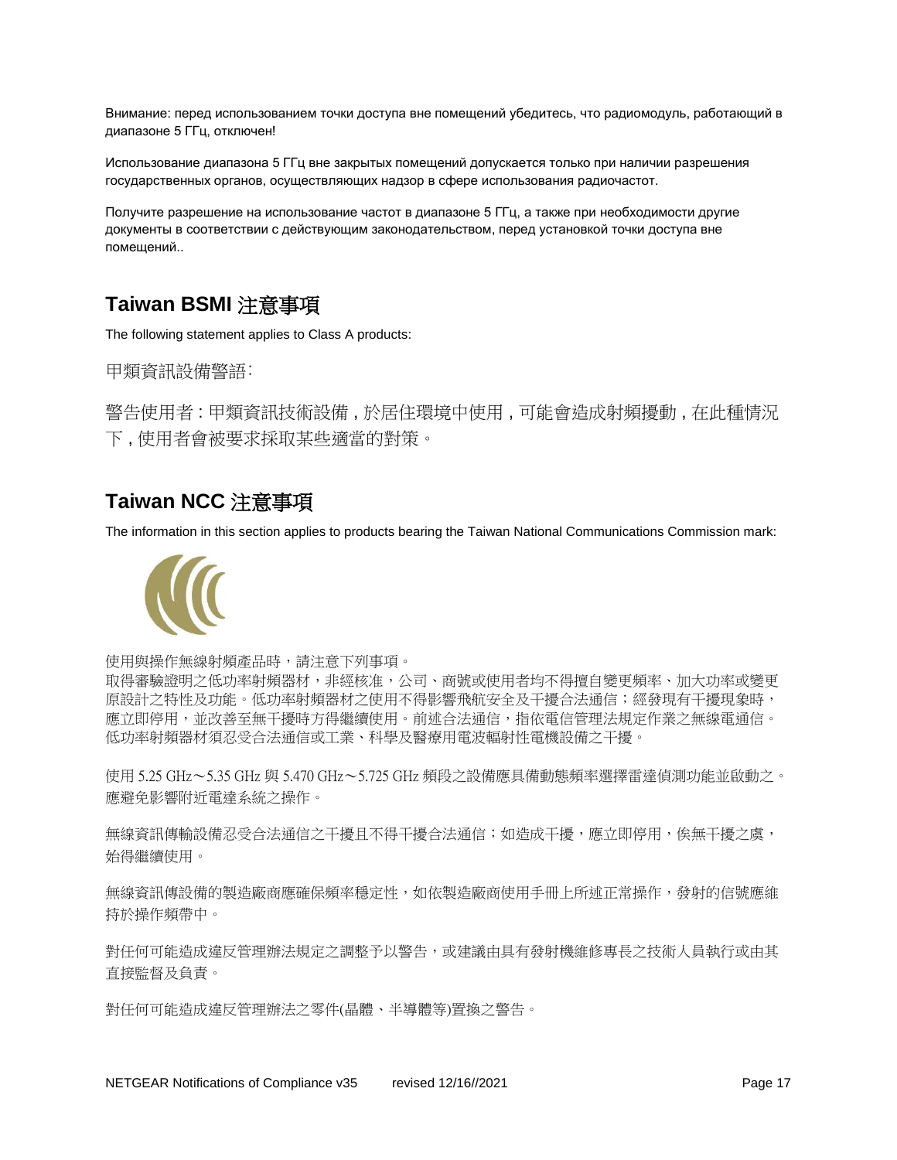Внимание: перед использованием точки доступа вне помещений убедитесь, что радиомодуль, работающий в диапазоне 5 ГГц, отключен!

Использование диапазона 5 ГГц вне закрытых помещений допускается только при наличии разрешения государственных органов, осуществляющих надзор в сфере использования радиочастот.

Получите разрешение на использование частот в диапазоне 5 ГГц, а также при необходимости другие документы в соответствии с действующим законодательством, перед установкой точки доступа вне помещений..

# <span id="page-16-0"></span>**Taiwan BSMI** 注意事項

The following statement applies to Class A products:

甲類資訊設備警語:

警告使用者 : 甲類資訊技術設備 , 於居住環境中使用 , 可能會造成射頻擾動 , 在此種情況 下 , 使用者會被要求採取某些適當的對策。

# <span id="page-16-1"></span>**Taiwan NCC** 注意事項

The information in this section applies to products bearing the Taiwan National Communications Commission mark:



使用與操作無線射頻產品時,請注意下列事項。

取得審驗證明之低功率射頻器材,非經核准,公司、商號或使用者均不得擅自變更頻率、加大功率或變更 原設計之特性及功能。低功率射頻器材之使用不得影響飛航安全及干擾合法通信;經發現有干擾現象時, 應立即停用,並改善至無干擾時方得繼續使用。前述合法通信,指依電信管理法規定作業之無線電通信。 低功率射頻器材須忍受合法通信或工業、科學及醫療用電波輻射性電機設備之干擾。

使用 5.25 GHz~5.35 GHz 與 5.470 GHz~5.725 GHz 頻段之設備應具備動態頻率選擇雷達偵測功能並啟動之。 應避免影響附近電達系統之操作。

無線資訊傳輸設備忍受合法通信之干擾日不得干擾合法通信;如造成干擾,應立即停用,俟無干擾之虞, 始得繼續使用。

無線資訊傳設備的製造廠商應確保頻率穩定性,如依製造廠商使用手冊上所述正常操作,發射的信號應維 持於操作頻帶中。

對任何可能造成違反管理辦法規定之調整予以警告,或建議由具有發射機維修專長之技術人員執行或由其 直接監督及負責。

對任何可能造成違反管理辦法之零件(晶體、半導體等)置換之警告。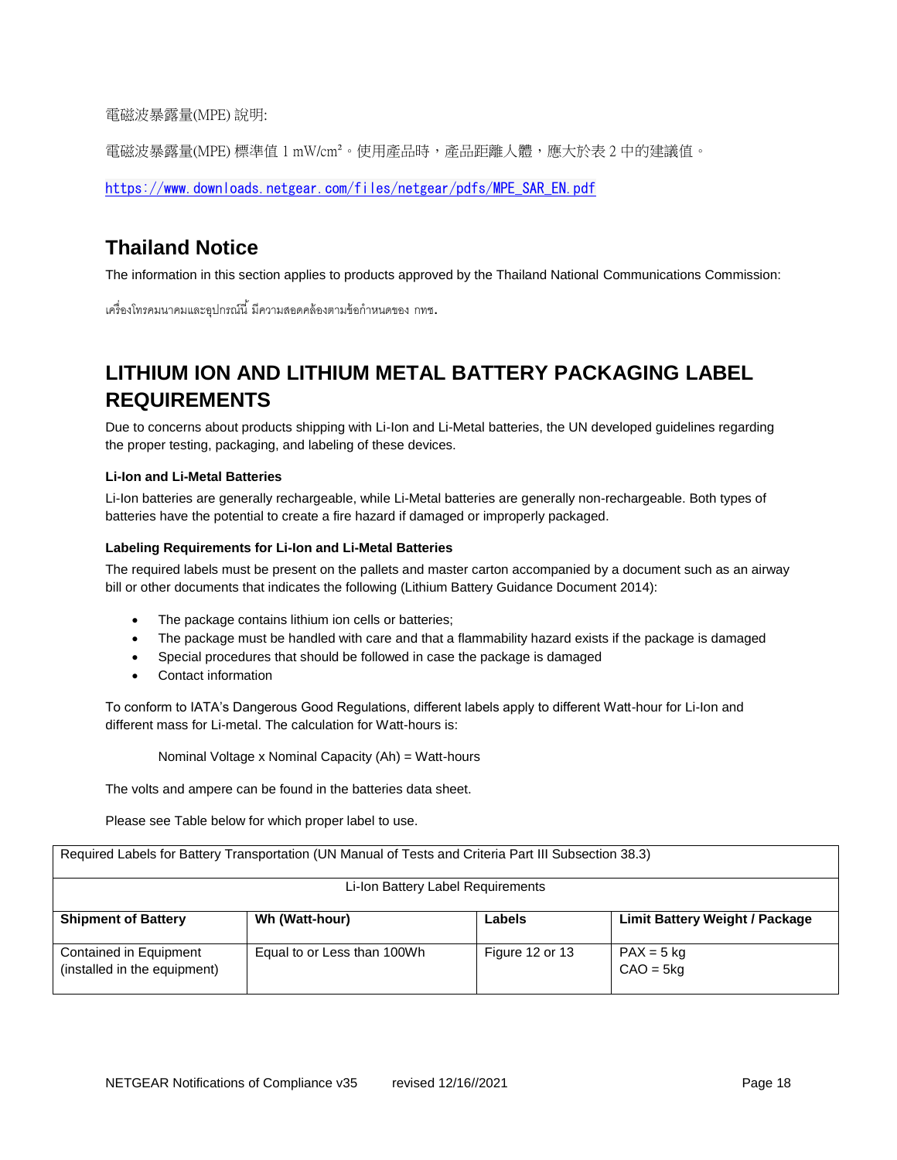電磁波暴露量(MPE) 說明:

電磁波暴露量(MPE) 標準值 1 mW/cm²。使用產品時,產品距離人體,應大於表 2 中的建議值。

[https://www.downloads.netgear.com/files/netgear/pdfs/MPE\\_SAR\\_EN.pdf](https://www.downloads.netgear.com/files/netgear/pdfs/MPE_SAR_EN.pdf)

# <span id="page-17-0"></span>**Thailand Notice**

The information in this section applies to products approved by the Thailand National Communications Commission:

้เครื่องโทรคมนาคมและอุปกรณ์นี้ มีความสอดคล้องตามข้อกำหนดของ กทช.

# <span id="page-17-1"></span>**LITHIUM ION AND LITHIUM METAL BATTERY PACKAGING LABEL REQUIREMENTS**

Due to concerns about products shipping with Li-Ion and Li-Metal batteries, the UN developed guidelines regarding the proper testing, packaging, and labeling of these devices.

#### <span id="page-17-2"></span>**Li-Ion and Li-Metal Batteries**

Li-Ion batteries are generally rechargeable, while Li-Metal batteries are generally non-rechargeable. Both types of batteries have the potential to create a fire hazard if damaged or improperly packaged.

#### <span id="page-17-3"></span>**Labeling Requirements for Li-Ion and Li-Metal Batteries**

The required labels must be present on the pallets and master carton accompanied by a document such as an airway bill or other documents that indicates the following (Lithium Battery Guidance Document 2014):

- The package contains lithium ion cells or batteries;
- The package must be handled with care and that a flammability hazard exists if the package is damaged
- Special procedures that should be followed in case the package is damaged
- Contact information

To conform to IATA's Dangerous Good Regulations, different labels apply to different Watt-hour for Li-Ion and different mass for Li-metal. The calculation for Watt-hours is:

Nominal Voltage x Nominal Capacity (Ah) = Watt-hours

The volts and ampere can be found in the batteries data sheet.

Please see Table below for which proper label to use.

| Required Labels for Battery Transportation (UN Manual of Tests and Criteria Part III Subsection 38.3) |                             |                 |                                       |  |  |
|-------------------------------------------------------------------------------------------------------|-----------------------------|-----------------|---------------------------------------|--|--|
| Li-Ion Battery Label Requirements                                                                     |                             |                 |                                       |  |  |
| <b>Shipment of Battery</b>                                                                            | Wh (Watt-hour)              | Labels          | <b>Limit Battery Weight / Package</b> |  |  |
| Contained in Equipment<br>(installed in the equipment)                                                | Equal to or Less than 100Wh | Figure 12 or 13 | $PAX = 5$ kg<br>$CAO = 5kg$           |  |  |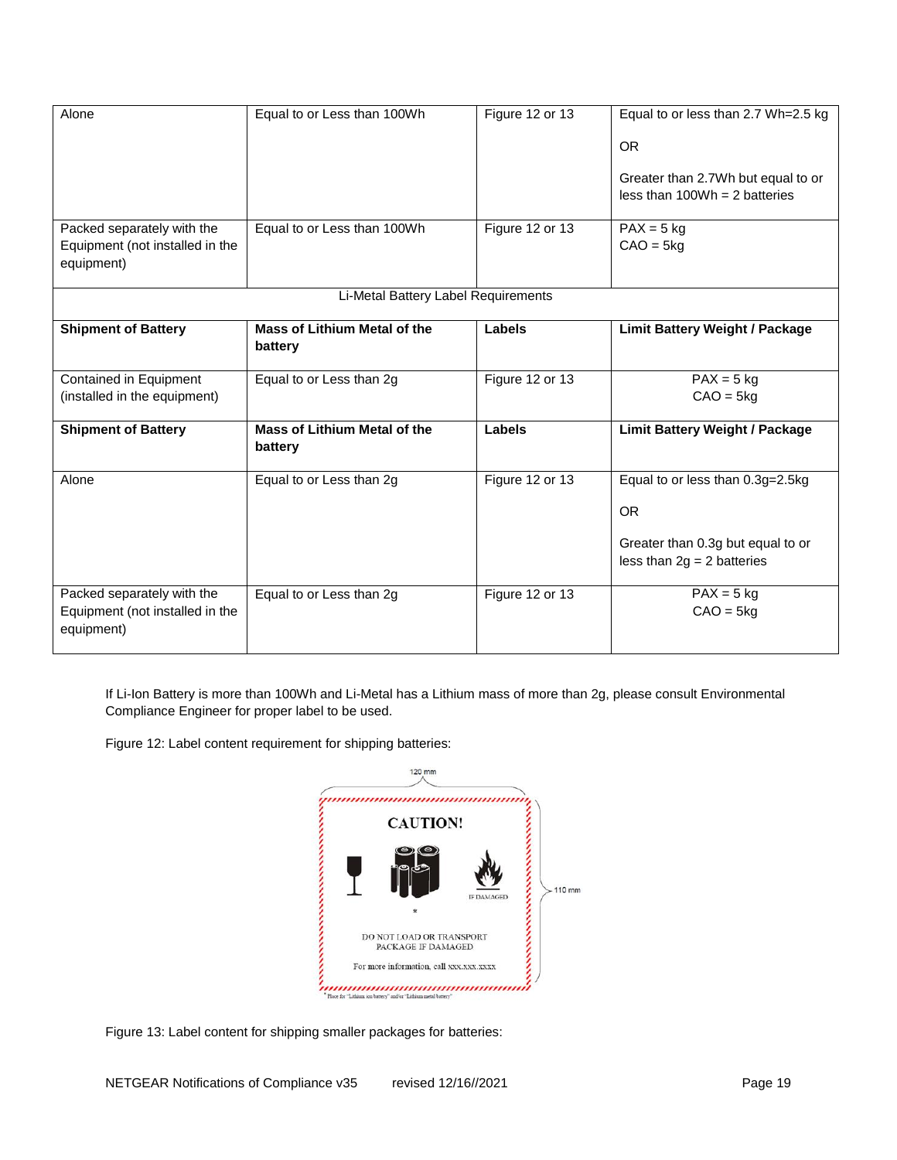| Alone                                                                       | Equal to or Less than 100Wh                    | Figure 12 or 13 | Equal to or less than 2.7 Wh=2.5 kg<br><b>OR</b>                      |
|-----------------------------------------------------------------------------|------------------------------------------------|-----------------|-----------------------------------------------------------------------|
|                                                                             |                                                |                 | Greater than 2.7Wh but equal to or<br>less than $100Wh = 2$ batteries |
| Packed separately with the<br>Equipment (not installed in the<br>equipment) | Equal to or Less than 100Wh                    | Figure 12 or 13 | $PAX = 5$ kg<br>$CAO = 5kg$                                           |
|                                                                             | Li-Metal Battery Label Requirements            |                 |                                                                       |
| <b>Shipment of Battery</b>                                                  | <b>Mass of Lithium Metal of the</b><br>battery | Labels          | <b>Limit Battery Weight / Package</b>                                 |
| Contained in Equipment<br>(installed in the equipment)                      | Equal to or Less than 2g                       | Figure 12 or 13 | $PAX = 5$ kg<br>$CAO = 5kg$                                           |
| <b>Shipment of Battery</b>                                                  | <b>Mass of Lithium Metal of the</b><br>battery | Labels          | <b>Limit Battery Weight / Package</b>                                 |
| Alone                                                                       | Equal to or Less than 2g                       | Figure 12 or 13 | Equal to or less than 0.3g=2.5kg<br><b>OR</b>                         |
|                                                                             |                                                |                 | Greater than 0.3g but equal to or<br>less than $2g = 2$ batteries     |
| Packed separately with the<br>Equipment (not installed in the<br>equipment) | Equal to or Less than 2g                       | Figure 12 or 13 | $PAX = 5$ kg<br>$CAO = 5kg$                                           |

If Li-Ion Battery is more than 100Wh and Li-Metal has a Lithium mass of more than 2g, please consult Environmental Compliance Engineer for proper label to be used.

Figure 12: Label content requirement for shipping batteries:



Figure 13: Label content for shipping smaller packages for batteries: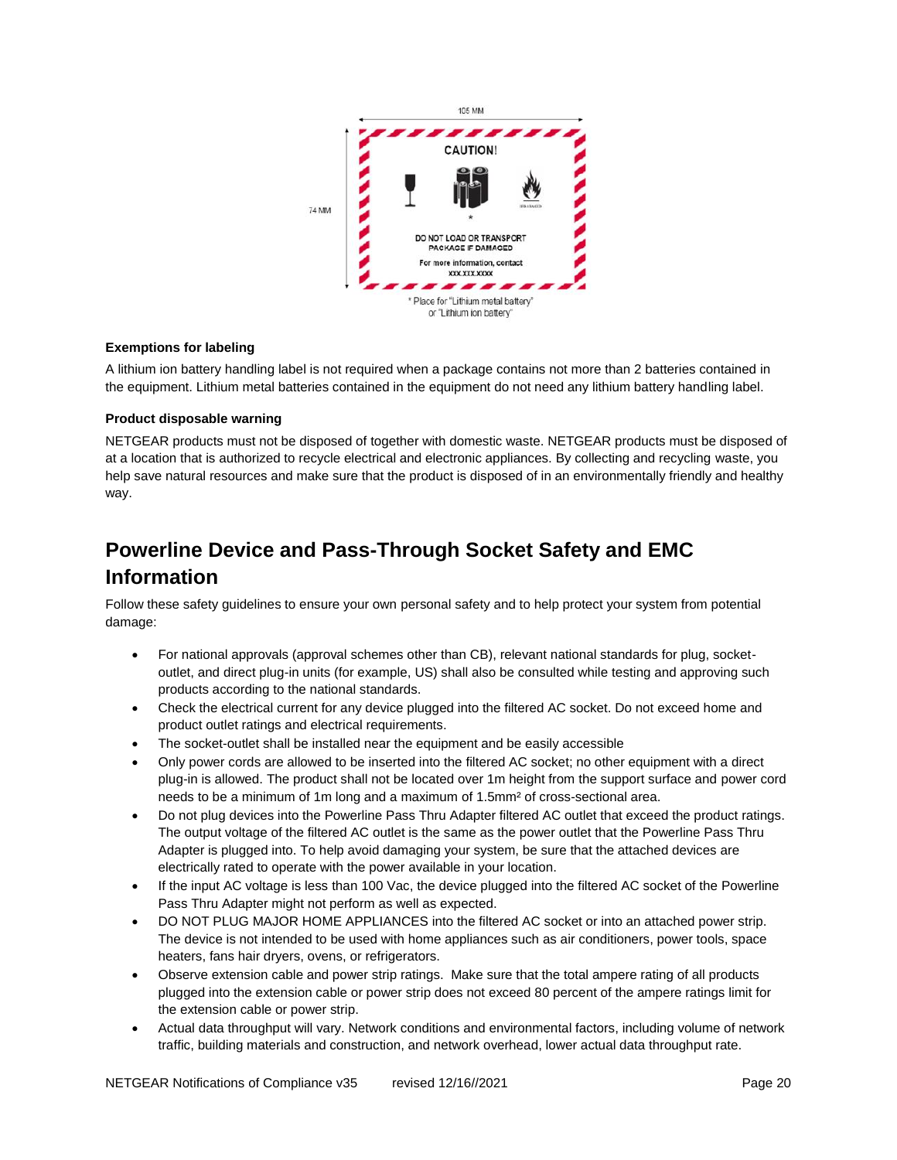

#### <span id="page-19-0"></span>**Exemptions for labeling**

A lithium ion battery handling label is not required when a package contains not more than 2 batteries contained in the equipment. Lithium metal batteries contained in the equipment do not need any lithium battery handling label.

#### <span id="page-19-1"></span>**Product disposable warning**

NETGEAR products must not be disposed of together with domestic waste. NETGEAR products must be disposed of at a location that is authorized to recycle electrical and electronic appliances. By collecting and recycling waste, you help save natural resources and make sure that the product is disposed of in an environmentally friendly and healthy way.

# <span id="page-19-2"></span>**Powerline Device and Pass-Through Socket Safety and EMC Information**

Follow these safety guidelines to ensure your own personal safety and to help protect your system from potential damage:

- For national approvals (approval schemes other than CB), relevant national standards for plug, socketoutlet, and direct plug-in units (for example, US) shall also be consulted while testing and approving such products according to the national standards.
- Check the electrical current for any device plugged into the filtered AC socket. Do not exceed home and product outlet ratings and electrical requirements.
- The socket-outlet shall be installed near the equipment and be easily accessible
- Only power cords are allowed to be inserted into the filtered AC socket; no other equipment with a direct plug-in is allowed. The product shall not be located over 1m height from the support surface and power cord needs to be a minimum of 1m long and a maximum of 1.5mm² of cross-sectional area.
- Do not plug devices into the Powerline Pass Thru Adapter filtered AC outlet that exceed the product ratings. The output voltage of the filtered AC outlet is the same as the power outlet that the Powerline Pass Thru Adapter is plugged into. To help avoid damaging your system, be sure that the attached devices are electrically rated to operate with the power available in your location.
- If the input AC voltage is less than 100 Vac, the device plugged into the filtered AC socket of the Powerline Pass Thru Adapter might not perform as well as expected.
- DO NOT PLUG MAJOR HOME APPLIANCES into the filtered AC socket or into an attached power strip. The device is not intended to be used with home appliances such as air conditioners, power tools, space heaters, fans hair dryers, ovens, or refrigerators.
- Observe extension cable and power strip ratings. Make sure that the total ampere rating of all products plugged into the extension cable or power strip does not exceed 80 percent of the ampere ratings limit for the extension cable or power strip.
- Actual data throughput will vary. Network conditions and environmental factors, including volume of network traffic, building materials and construction, and network overhead, lower actual data throughput rate.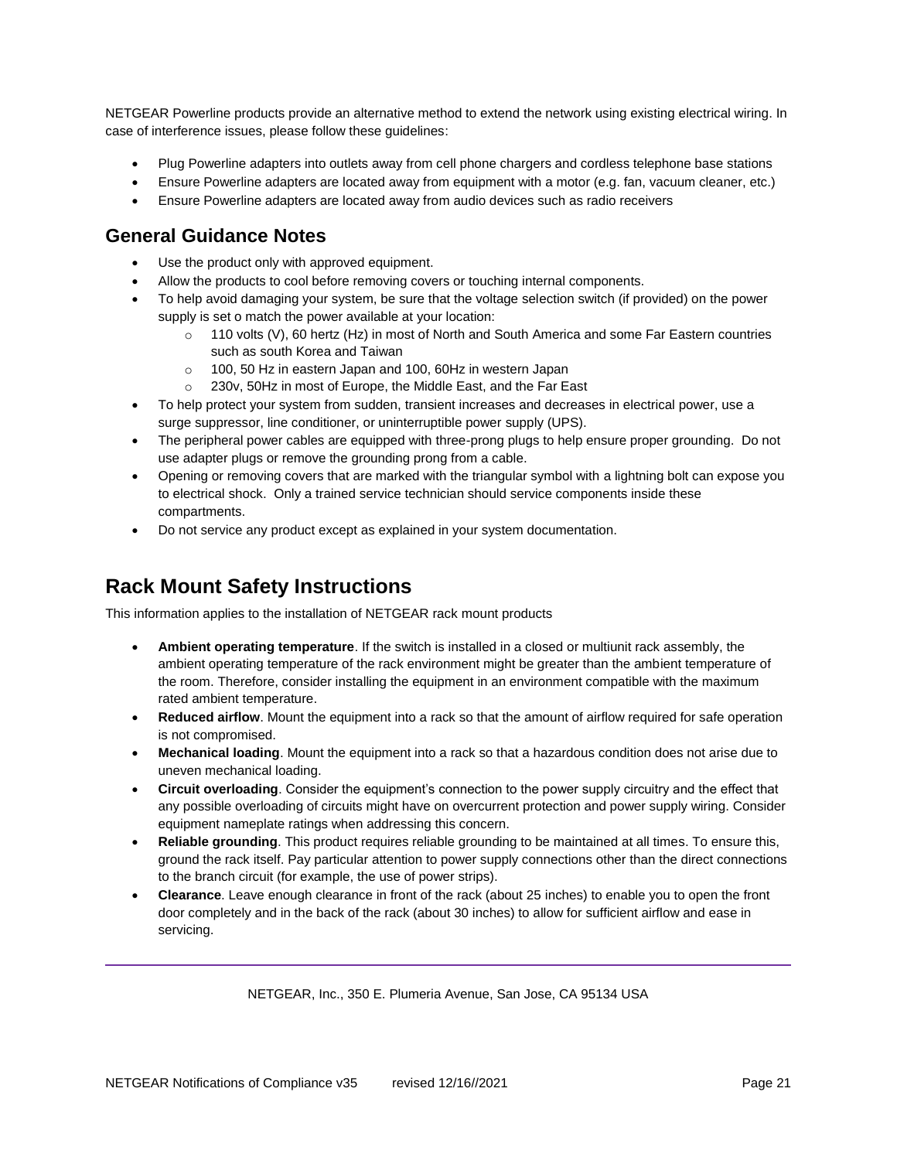NETGEAR Powerline products provide an alternative method to extend the network using existing electrical wiring. In case of interference issues, please follow these guidelines:

- Plug Powerline adapters into outlets away from cell phone chargers and cordless telephone base stations
- Ensure Powerline adapters are located away from equipment with a motor (e.g. fan, vacuum cleaner, etc.)
- Ensure Powerline adapters are located away from audio devices such as radio receivers

#### <span id="page-20-0"></span>**General Guidance Notes**

- Use the product only with approved equipment.
- Allow the products to cool before removing covers or touching internal components.
- To help avoid damaging your system, be sure that the voltage selection switch (if provided) on the power supply is set o match the power available at your location:
	- o 110 volts (V), 60 hertz (Hz) in most of North and South America and some Far Eastern countries such as south Korea and Taiwan
	- o 100, 50 Hz in eastern Japan and 100, 60Hz in western Japan
	- o 230v, 50Hz in most of Europe, the Middle East, and the Far East
- To help protect your system from sudden, transient increases and decreases in electrical power, use a surge suppressor, line conditioner, or uninterruptible power supply (UPS).
- The peripheral power cables are equipped with three-prong plugs to help ensure proper grounding. Do not use adapter plugs or remove the grounding prong from a cable.
- Opening or removing covers that are marked with the triangular symbol with a lightning bolt can expose you to electrical shock. Only a trained service technician should service components inside these compartments.
- Do not service any product except as explained in your system documentation.

# <span id="page-20-1"></span>**Rack Mount Safety Instructions**

This information applies to the installation of NETGEAR rack mount products

- **Ambient operating temperature**. If the switch is installed in a closed or multiunit rack assembly, the ambient operating temperature of the rack environment might be greater than the ambient temperature of the room. Therefore, consider installing the equipment in an environment compatible with the maximum rated ambient temperature.
- **Reduced airflow**. Mount the equipment into a rack so that the amount of airflow required for safe operation is not compromised.
- **Mechanical loading**. Mount the equipment into a rack so that a hazardous condition does not arise due to uneven mechanical loading.
- **Circuit overloading**. Consider the equipment's connection to the power supply circuitry and the effect that any possible overloading of circuits might have on overcurrent protection and power supply wiring. Consider equipment nameplate ratings when addressing this concern.
- **Reliable grounding**. This product requires reliable grounding to be maintained at all times. To ensure this, ground the rack itself. Pay particular attention to power supply connections other than the direct connections to the branch circuit (for example, the use of power strips).
- **Clearance**. Leave enough clearance in front of the rack (about 25 inches) to enable you to open the front door completely and in the back of the rack (about 30 inches) to allow for sufficient airflow and ease in servicing.

NETGEAR, Inc., 350 E. Plumeria Avenue, San Jose, CA 95134 USA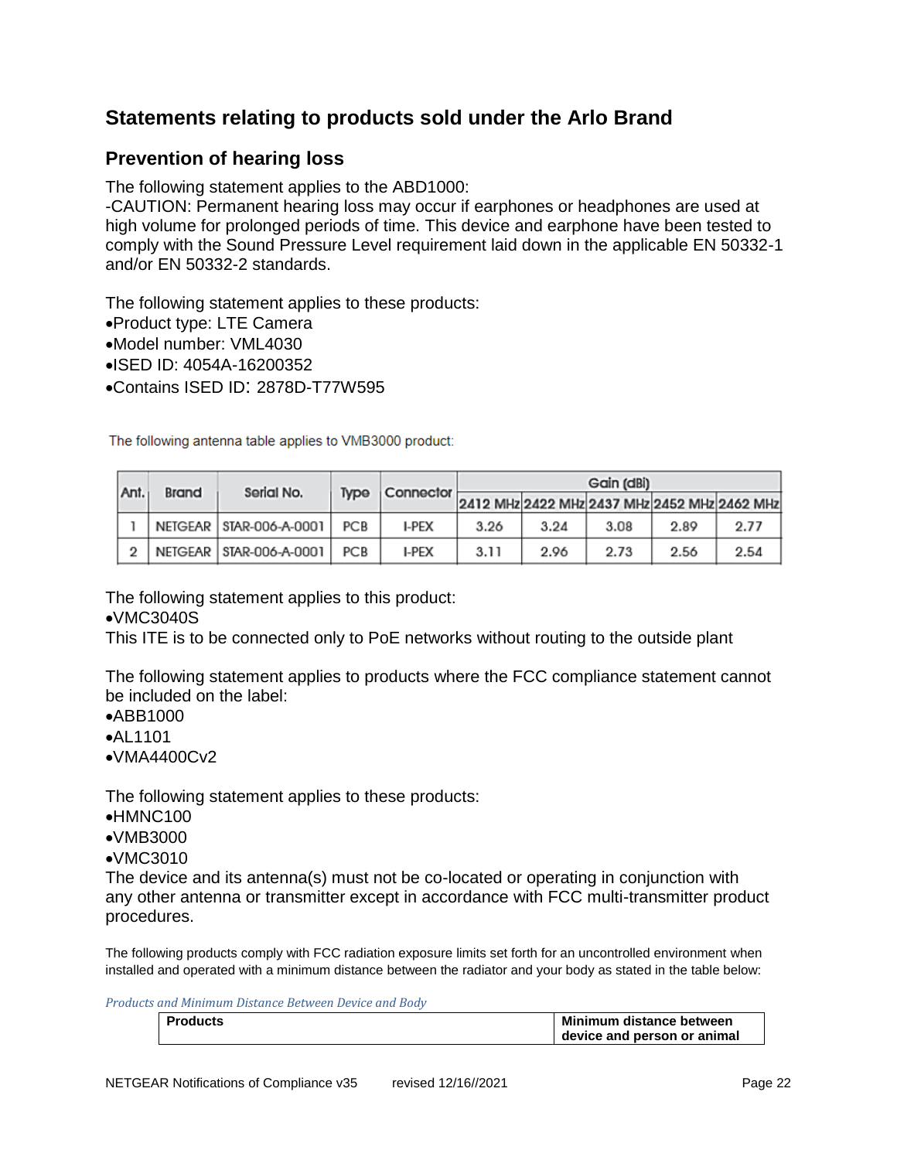# <span id="page-21-0"></span>**Statements relating to products sold under the Arlo Brand**

### <span id="page-21-1"></span>**Prevention of hearing loss**

The following statement applies to the ABD1000:

-CAUTION: Permanent hearing loss may occur if earphones or headphones are used at high volume for prolonged periods of time. This device and earphone have been tested to comply with the Sound Pressure Level requirement laid down in the applicable EN 50332-1 and/or EN 50332-2 standards.

The following statement applies to these products:

- •Product type: LTE Camera
- •Model number: VML4030
- •ISED ID: 4054A-16200352
- •Contains ISED ID: 2878D-T77W595

The following antenna table applies to VMB3000 product:

|      |                                              | Brand | Serial No.                | <b>Type</b> | Connector    | Gain (dBi) |      |      |      |      |
|------|----------------------------------------------|-------|---------------------------|-------------|--------------|------------|------|------|------|------|
| Ant. | 2412 MHz 2422 MHz 2437 MHz 2452 MHz 2462 MHz |       |                           |             |              |            |      |      |      |      |
|      |                                              |       | NETGEAR   STAR-006-A-0001 | <b>PCB</b>  | I-PEX        | 3.26       | 3.24 | 3.08 | 2.89 | 2.77 |
|      |                                              |       | NETGEAR   STAR-006-A-0001 | <b>PCB</b>  | <b>I-PEX</b> | 3.11       | 2.96 | 2.73 | 2.56 | 2.54 |

The following statement applies to this product:

#### •VMC3040S

This ITE is to be connected only to PoE networks without routing to the outside plant

The following statement applies to products where the FCC compliance statement cannot be included on the label:

- •ABB1000
- •AL1101
- •VMA4400Cv2

The following statement applies to these products:

- •HMNC100
- •VMB3000
- •VMC3010

The device and its antenna(s) must not be co-located or operating in conjunction with any other antenna or transmitter except in accordance with FCC multi-transmitter product procedures.

The following products comply with FCC radiation exposure limits set forth for an uncontrolled environment when installed and operated with a minimum distance between the radiator and your body as stated in the table below:

*Products and Minimum Distance Between Device and Body*

| Products | Minimum distance between    |
|----------|-----------------------------|
|          | device and person or animal |